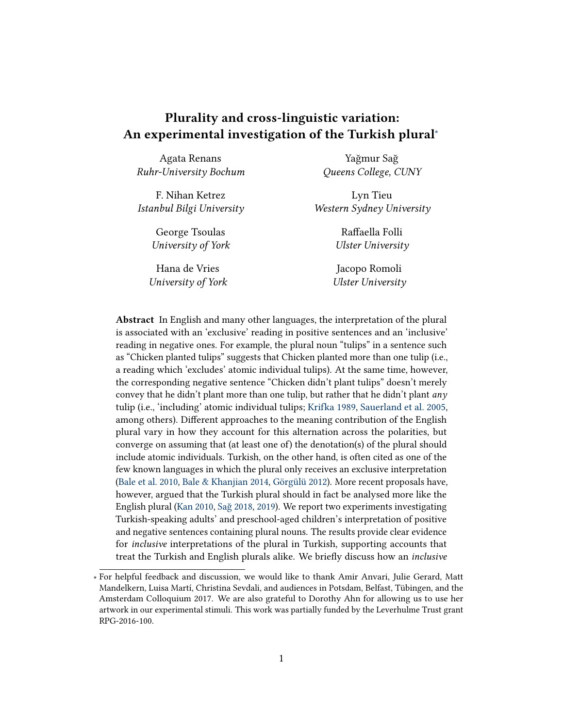# Plurality and cross-linguistic variation: An experimental investigation of the Turkish plural∗

| Agata Renans           | Yağmur Sağ           |
|------------------------|----------------------|
| Ruhr-University Bochum | Queens College, CUNY |
| F. Nihan Ketrez        | Lyn Tieu             |

George Tsoulas University of York

Istanbul Bilgi University

Hana de Vries University of York Western Sydney University Raffaella Folli

Ulster University

Jacopo Romoli Ulster University

Abstract In English and many other languages, the interpretation of the plural is associated with an 'exclusive' reading in positive sentences and an 'inclusive' reading in negative ones. For example, the plural noun "tulips" in a sentence such as "Chicken planted tulips" suggests that Chicken planted more than one tulip (i.e., a reading which 'excludes' atomic individual tulips). At the same time, however, the corresponding negative sentence "Chicken didn't plant tulips" doesn't merely convey that he didn't plant more than one tulip, but rather that he didn't plant any tulip (i.e., 'including' atomic individual tulips; [Krifka](#page-38-0) [1989,](#page-38-0) [Sauerland et al.](#page-39-0) [2005,](#page-39-0) among others). Different approaches to the meaning contribution of the English plural vary in how they account for this alternation across the polarities, but converge on assuming that (at least one of) the denotation(s) of the plural should include atomic individuals. Turkish, on the other hand, is often cited as one of the few known languages in which the plural only receives an exclusive interpretation [\(Bale et al.](#page-36-0) [2010,](#page-36-0) [Bale & Khanjian](#page-37-0) [2014,](#page-37-0) [Görgülü](#page-38-1) [2012\)](#page-38-1). More recent proposals have, however, argued that the Turkish plural should in fact be analysed more like the English plural [\(Kan](#page-38-2) [2010,](#page-38-2) [Sağ](#page-39-1) [2018,](#page-39-1) [2019\)](#page-39-2). We report two experiments investigating Turkish-speaking adults' and preschool-aged children's interpretation of positive and negative sentences containing plural nouns. The results provide clear evidence for inclusive interpretations of the plural in Turkish, supporting accounts that treat the Turkish and English plurals alike. We briefly discuss how an inclusive

<sup>∗</sup> For helpful feedback and discussion, we would like to thank Amir Anvari, Julie Gerard, Matt Mandelkern, Luisa Martí, Christina Sevdali, and audiences in Potsdam, Belfast, Tübingen, and the Amsterdam Colloquium 2017. We are also grateful to Dorothy Ahn for allowing us to use her artwork in our experimental stimuli. This work was partially funded by the Leverhulme Trust grant RPG-2016-100.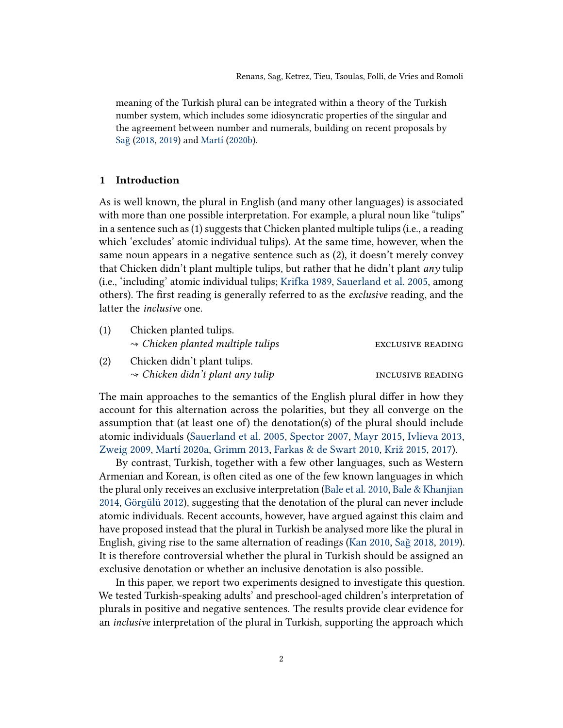meaning of the Turkish plural can be integrated within a theory of the Turkish number system, which includes some idiosyncratic properties of the singular and the agreement between number and numerals, building on recent proposals by [Sağ](#page-39-1) [\(2018,](#page-39-1) [2019\)](#page-39-2) and [Martí](#page-39-3) [\(2020b\)](#page-39-3).

## 1 Introduction

As is well known, the plural in English (and many other languages) is associated with more than one possible interpretation. For example, a plural noun like "tulips" in a sentence such as (1) suggests that Chicken planted multiple tulips (i.e., a reading which 'excludes' atomic individual tulips). At the same time, however, when the same noun appears in a negative sentence such as (2), it doesn't merely convey that Chicken didn't plant multiple tulips, but rather that he didn't plant any tulip (i.e., 'including' atomic individual tulips; [Krifka](#page-38-0) [1989,](#page-38-0) [Sauerland et al.](#page-39-0) [2005,](#page-39-0) among others). The first reading is generally referred to as the exclusive reading, and the latter the inclusive one.

| (1) | Chicken planted tulips.<br>$\sim$ Chicken planted multiple tulips     | <b>EXCLUSIVE READING</b> |
|-----|-----------------------------------------------------------------------|--------------------------|
| (2) | Chicken didn't plant tulips.<br>$\sim$ Chicken didn't plant any tulip | INCLUSIVE READING        |

The main approaches to the semantics of the English plural differ in how they account for this alternation across the polarities, but they all converge on the assumption that (at least one of) the denotation(s) of the plural should include atomic individuals [\(Sauerland et al.](#page-39-0) [2005,](#page-39-0) [Spector](#page-39-4) [2007,](#page-39-4) [Mayr](#page-39-5) [2015,](#page-39-5) [Ivlieva](#page-38-3) [2013,](#page-38-3) [Zweig](#page-40-0) [2009,](#page-40-0) [Martí](#page-39-6) [2020a,](#page-39-6) [Grimm](#page-38-4) [2013,](#page-38-4) [Farkas & de Swart](#page-37-1) [2010,](#page-37-1) [Križ](#page-38-5) [2015,](#page-38-5) [2017\)](#page-38-6).

By contrast, Turkish, together with a few other languages, such as Western Armenian and Korean, is often cited as one of the few known languages in which the plural only receives an exclusive interpretation [\(Bale et al.](#page-36-0) [2010,](#page-36-0) [Bale & Khanjian](#page-37-0) [2014,](#page-37-0) [Görgülü](#page-38-1) [2012\)](#page-38-1), suggesting that the denotation of the plural can never include atomic individuals. Recent accounts, however, have argued against this claim and have proposed instead that the plural in Turkish be analysed more like the plural in English, giving rise to the same alternation of readings [\(Kan](#page-38-2) [2010,](#page-38-2) [Sağ](#page-39-1) [2018,](#page-39-1) [2019\)](#page-39-2). It is therefore controversial whether the plural in Turkish should be assigned an exclusive denotation or whether an inclusive denotation is also possible.

In this paper, we report two experiments designed to investigate this question. We tested Turkish-speaking adults' and preschool-aged children's interpretation of plurals in positive and negative sentences. The results provide clear evidence for an inclusive interpretation of the plural in Turkish, supporting the approach which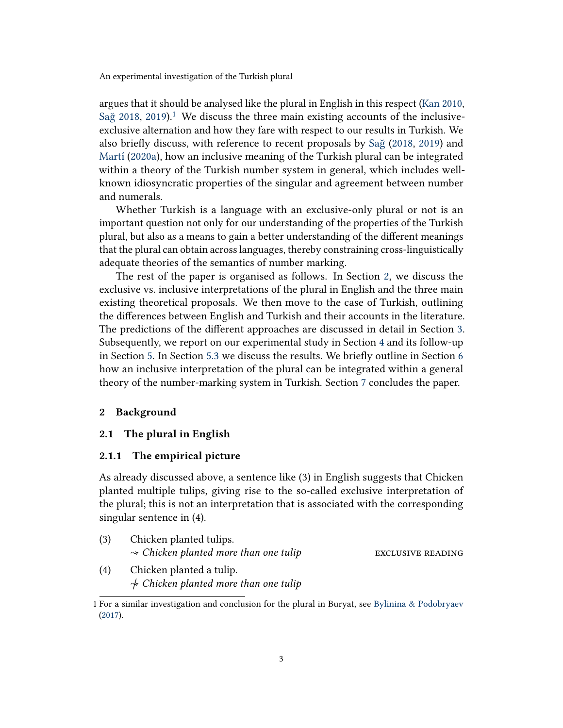argues that it should be analysed like the plural in English in this respect [\(Kan](#page-38-2) [2010,](#page-38-2) [Sağ](#page-39-1)  $2018$  $2018$  $2018$ ,  $2019$ ).<sup>1</sup> We discuss the three main existing accounts of the inclusiveexclusive alternation and how they fare with respect to our results in Turkish. We also briefly discuss, with reference to recent proposals by [Sağ](#page-39-1) [\(2018,](#page-39-1) [2019\)](#page-39-2) and [Martí](#page-39-6) [\(2020a\)](#page-39-6), how an inclusive meaning of the Turkish plural can be integrated within a theory of the Turkish number system in general, which includes wellknown idiosyncratic properties of the singular and agreement between number and numerals.

Whether Turkish is a language with an exclusive-only plural or not is an important question not only for our understanding of the properties of the Turkish plural, but also as a means to gain a better understanding of the different meanings that the plural can obtain across languages, thereby constraining cross-linguistically adequate theories of the semantics of number marking.

The rest of the paper is organised as follows. In Section [2,](#page-2-1) we discuss the exclusive vs. inclusive interpretations of the plural in English and the three main existing theoretical proposals. We then move to the case of Turkish, outlining the differences between English and Turkish and their accounts in the literature. The predictions of the different approaches are discussed in detail in Section [3.](#page-13-0) Subsequently, we report on our experimental study in Section [4](#page-18-0) and its follow-up in Section [5.](#page-28-0) In Section [5.3](#page-32-0) we discuss the results. We briefly outline in Section [6](#page-33-0) how an inclusive interpretation of the plural can be integrated within a general theory of the number-marking system in Turkish. Section [7](#page-36-1) concludes the paper.

#### <span id="page-2-1"></span>2 Background

# 2.1 The plural in English

#### 2.1.1 The empirical picture

As already discussed above, a sentence like (3) in English suggests that Chicken planted multiple tulips, giving rise to the so-called exclusive interpretation of the plural; this is not an interpretation that is associated with the corresponding singular sentence in (4).

<span id="page-2-2"></span>

| (3) | Chicken planted tulips.                    |                          |
|-----|--------------------------------------------|--------------------------|
|     | $\sim$ Chicken planted more than one tulip | <b>EXCLUSIVE READING</b> |

(4) Chicken planted a tulip.  $\phi$  Chicken planted more than one tulip

<span id="page-2-0"></span><sup>1</sup> For a similar investigation and conclusion for the plural in Buryat, see [Bylinina & Podobryaev](#page-37-2) [\(2017\)](#page-37-2).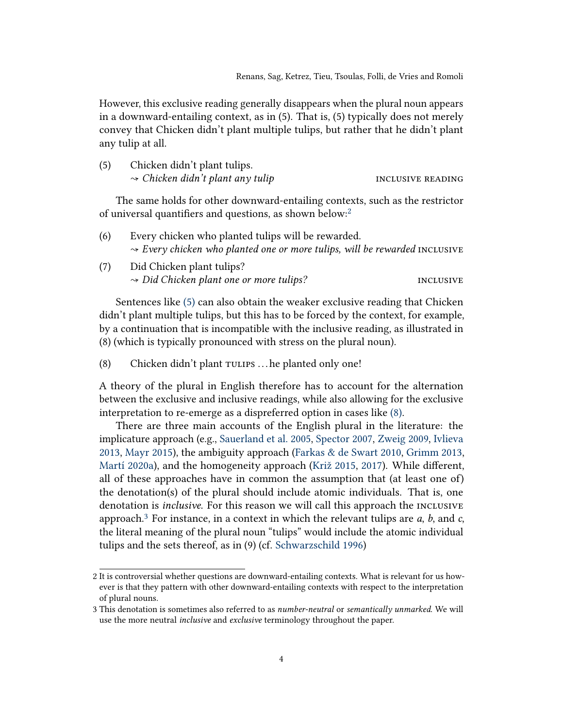However, this exclusive reading generally disappears when the plural noun appears in a downward-entailing context, as in (5). That is, (5) typically does not merely convey that Chicken didn't plant multiple tulips, but rather that he didn't plant any tulip at all.

<span id="page-3-1"></span>

| (5) | Chicken didn't plant tulips.          |                   |
|-----|---------------------------------------|-------------------|
|     | $\sim$ Chicken didn't plant any tulip | INCLUSIVE READING |

The same holds for other downward-entailing contexts, such as the restrictor of universal quantifiers and questions, as shown below:<sup>[2](#page-3-0)</sup>

- (6) Every chicken who planted tulips will be rewarded.  $\sim$  Every chicken who planted one or more tulips, will be rewarded INCLUSIVE
- (7) Did Chicken plant tulips?  $\sim$  Did Chicken plant one or more tulips? inclusive

Sentences like [\(5\)](#page-3-1) can also obtain the weaker exclusive reading that Chicken didn't plant multiple tulips, but this has to be forced by the context, for example, by a continuation that is incompatible with the inclusive reading, as illustrated in (8) (which is typically pronounced with stress on the plural noun).

<span id="page-3-2"></span>(8) Chicken didn't plant rutips ... he planted only one!

A theory of the plural in English therefore has to account for the alternation between the exclusive and inclusive readings, while also allowing for the exclusive interpretation to re-emerge as a dispreferred option in cases like [\(8\).](#page-3-2)

There are three main accounts of the English plural in the literature: the implicature approach (e.g., [Sauerland et al.](#page-39-0) [2005,](#page-39-0) [Spector](#page-39-4) [2007,](#page-39-4) [Zweig](#page-40-0) [2009,](#page-40-0) [Ivlieva](#page-38-3) [2013,](#page-38-3) [Mayr](#page-39-5) [2015\)](#page-39-5), the ambiguity approach [\(Farkas & de Swart](#page-37-1) [2010,](#page-37-1) [Grimm](#page-38-4) [2013,](#page-38-4) [Martí](#page-39-6) [2020a\)](#page-39-6), and the homogeneity approach [\(Križ](#page-38-5) [2015,](#page-38-5) [2017\)](#page-38-6). While different, all of these approaches have in common the assumption that (at least one of) the denotation(s) of the plural should include atomic individuals. That is, one denotation is *inclusive*. For this reason we will call this approach the INCLUSIVE approach.<sup>[3](#page-3-3)</sup> For instance, in a context in which the relevant tulips are a, b, and c, the literal meaning of the plural noun "tulips" would include the atomic individual tulips and the sets thereof, as in (9) (cf. [Schwarzschild](#page-39-7) [1996\)](#page-39-7)

<span id="page-3-4"></span><span id="page-3-0"></span><sup>2</sup> It is controversial whether questions are downward-entailing contexts. What is relevant for us however is that they pattern with other downward-entailing contexts with respect to the interpretation of plural nouns.

<span id="page-3-3"></span><sup>3</sup> This denotation is sometimes also referred to as number-neutral or semantically unmarked. We will use the more neutral inclusive and exclusive terminology throughout the paper.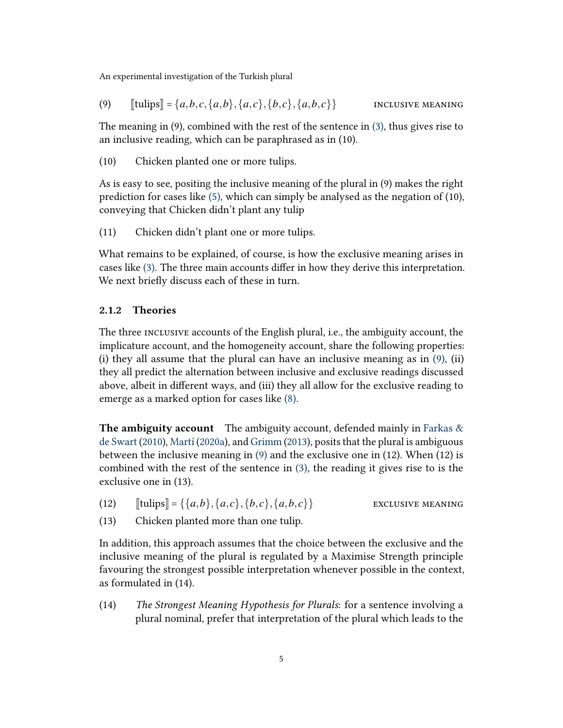(9) 
$$
\llbracket \text{tulips} \rrbracket = \{a, b, c, \{a, b\}, \{a, c\}, \{b, c\}, \{a, b, c\} \} \qquad \text{INCUSIVE MEANING}
$$

The meaning in (9), combined with the rest of the sentence in [\(3\),](#page-2-2) thus gives rise to an inclusive reading, which can be paraphrased as in (10).

<span id="page-4-0"></span>(10) Chicken planted one or more tulips.

As is easy to see, positing the inclusive meaning of the plural in (9) makes the right prediction for cases like [\(5\),](#page-3-1) which can simply be analysed as the negation of (10), conveying that Chicken didn't plant any tulip

<span id="page-4-1"></span>(11) Chicken didn't plant one or more tulips.

What remains to be explained, of course, is how the exclusive meaning arises in cases like [\(3\).](#page-2-2) The three main accounts differ in how they derive this interpretation. We next briefly discuss each of these in turn.

## 2.1.2 Theories

The three inclusive accounts of the English plural, i.e., the ambiguity account, the implicature account, and the homogeneity account, share the following properties: (i) they all assume that the plural can have an inclusive meaning as in [\(9\),](#page-3-4) (ii) they all predict the alternation between inclusive and exclusive readings discussed above, albeit in different ways, and (iii) they all allow for the exclusive reading to emerge as a marked option for cases like [\(8\).](#page-3-2)

**The ambiguity account** The ambiguity account, defended mainly in Farkas  $\&$ [de Swart](#page-37-1) [\(2010\)](#page-37-1), [Martí](#page-39-6) [\(2020a\)](#page-39-6), and [Grimm](#page-38-4) [\(2013\)](#page-38-4), posits that the plural is ambiguous between the inclusive meaning in [\(9\)](#page-3-4) and the exclusive one in (12). When (12) is combined with the rest of the sentence in [\(3\),](#page-2-2) the reading it gives rise to is the exclusive one in (13).

- (12)  $[[tulips]] = {\{a,b\}, \{a,c\}, \{b,c\}, \{a,b,c\}}$  exclusive meaning<br>(13) Chicken planted more than one tulip.
- Chicken planted more than one tulip.

In addition, this approach assumes that the choice between the exclusive and the inclusive meaning of the plural is regulated by a Maximise Strength principle favouring the strongest possible interpretation whenever possible in the context, as formulated in (14).

(14) The Strongest Meaning Hypothesis for Plurals: for a sentence involving a plural nominal, prefer that interpretation of the plural which leads to the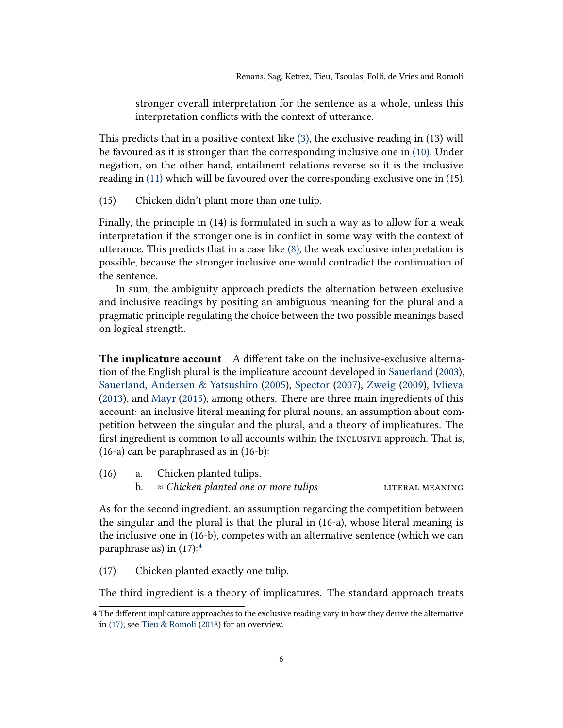stronger overall interpretation for the sentence as a whole, unless this interpretation conflicts with the context of utterance.

This predicts that in a positive context like [\(3\),](#page-2-2) the exclusive reading in (13) will be favoured as it is stronger than the corresponding inclusive one in [\(10\).](#page-4-0) Under negation, on the other hand, entailment relations reverse so it is the inclusive reading in [\(11\)](#page-4-1) which will be favoured over the corresponding exclusive one in (15).

(15) Chicken didn't plant more than one tulip.

Finally, the principle in (14) is formulated in such a way as to allow for a weak interpretation if the stronger one is in conflict in some way with the context of utterance. This predicts that in a case like [\(8\),](#page-3-2) the weak exclusive interpretation is possible, because the stronger inclusive one would contradict the continuation of the sentence.

In sum, the ambiguity approach predicts the alternation between exclusive and inclusive readings by positing an ambiguous meaning for the plural and a pragmatic principle regulating the choice between the two possible meanings based on logical strength.

The implicature account A different take on the inclusive-exclusive alternation of the English plural is the implicature account developed in [Sauerland](#page-39-8) [\(2003\)](#page-39-8), [Sauerland, Andersen & Yatsushiro](#page-39-0) [\(2005\)](#page-39-0), [Spector](#page-39-4) [\(2007\)](#page-39-4), [Zweig](#page-40-0) [\(2009\)](#page-40-0), [Ivlieva](#page-38-3) [\(2013\)](#page-38-3), and [Mayr](#page-39-5) [\(2015\)](#page-39-5), among others. There are three main ingredients of this account: an inclusive literal meaning for plural nouns, an assumption about competition between the singular and the plural, and a theory of implicatures. The first ingredient is common to all accounts within the INCLUSIVE approach. That is, (16-a) can be paraphrased as in (16-b):

<span id="page-5-2"></span>

| (16) | a. Chicken planted tulips.                   |                 |
|------|----------------------------------------------|-----------------|
|      | $\approx$ Chicken planted one or more tulips | LITERAL MEANING |

As for the second ingredient, an assumption regarding the competition between the singular and the plural is that the plural in (16-a), whose literal meaning is the inclusive one in (16-b), competes with an alternative sentence (which we can paraphrase as) in  $(17):$ <sup>[4](#page-5-0)</sup>

<span id="page-5-1"></span>(17) Chicken planted exactly one tulip.

The third ingredient is a theory of implicatures. The standard approach treats

<span id="page-5-0"></span><sup>4</sup> The different implicature approaches to the exclusive reading vary in how they derive the alternative in [\(17\);](#page-5-1) see [Tieu & Romoli](#page-40-1) [\(2018\)](#page-40-1) for an overview.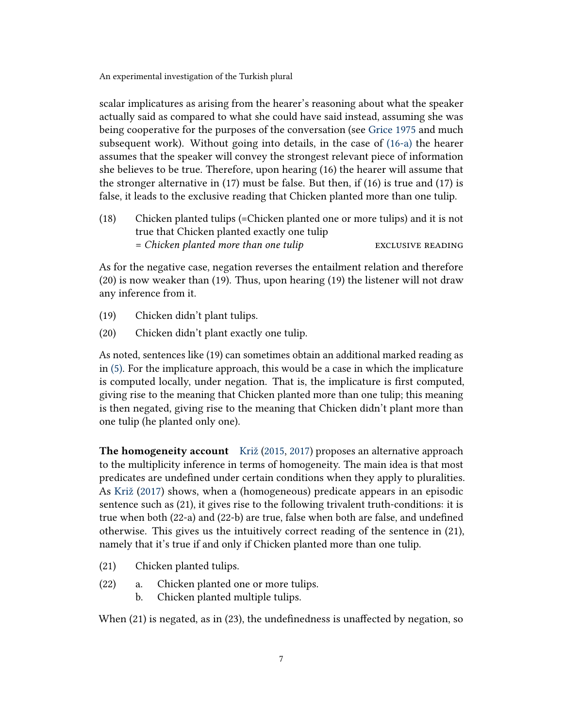scalar implicatures as arising from the hearer's reasoning about what the speaker actually said as compared to what she could have said instead, assuming she was being cooperative for the purposes of the conversation (see [Grice](#page-38-7) [1975](#page-38-7) and much subsequent work). Without going into details, in the case of [\(16-a\)](#page-5-2) the hearer assumes that the speaker will convey the strongest relevant piece of information she believes to be true. Therefore, upon hearing (16) the hearer will assume that the stronger alternative in (17) must be false. But then, if (16) is true and (17) is false, it leads to the exclusive reading that Chicken planted more than one tulip.

(18) Chicken planted tulips (=Chicken planted one or more tulips) and it is not true that Chicken planted exactly one tulip  $=$  Chicken planted more than one tulip  $\sum_{n=1}^{\infty}$  EXCLUSIVE READING

As for the negative case, negation reverses the entailment relation and therefore (20) is now weaker than (19). Thus, upon hearing (19) the listener will not draw any inference from it.

- (19) Chicken didn't plant tulips.
- (20) Chicken didn't plant exactly one tulip.

As noted, sentences like (19) can sometimes obtain an additional marked reading as in [\(5\).](#page-3-1) For the implicature approach, this would be a case in which the implicature is computed locally, under negation. That is, the implicature is first computed, giving rise to the meaning that Chicken planted more than one tulip; this meaning is then negated, giving rise to the meaning that Chicken didn't plant more than one tulip (he planted only one).

The homogeneity account [Križ](#page-38-5) [\(2015,](#page-38-5) [2017\)](#page-38-6) proposes an alternative approach to the multiplicity inference in terms of homogeneity. The main idea is that most predicates are undefined under certain conditions when they apply to pluralities. As [Križ](#page-38-6) [\(2017\)](#page-38-6) shows, when a (homogeneous) predicate appears in an episodic sentence such as (21), it gives rise to the following trivalent truth-conditions: it is true when both  $(22-a)$  and  $(22-b)$  are true, false when both are false, and undefined otherwise. This gives us the intuitively correct reading of the sentence in (21), namely that it's true if and only if Chicken planted more than one tulip.

- (21) Chicken planted tulips.
- (22) a. Chicken planted one or more tulips.
	- b. Chicken planted multiple tulips.

When  $(21)$  is negated, as in  $(23)$ , the undefinedness is unaffected by negation, so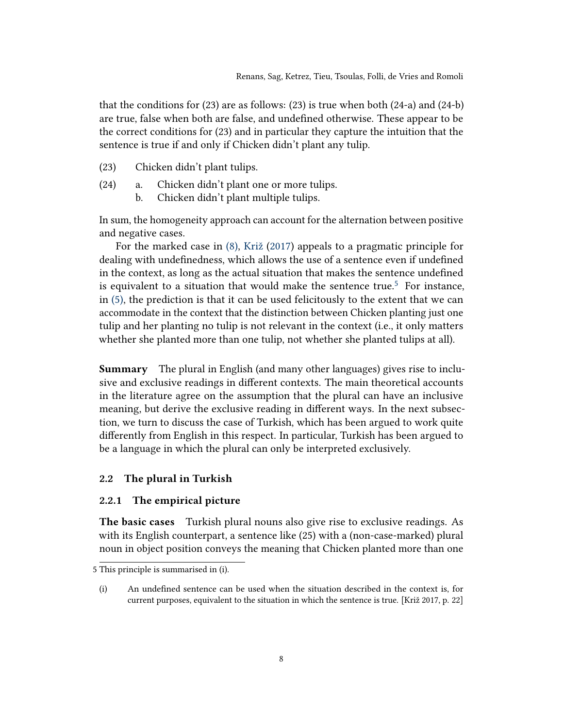that the conditions for (23) are as follows: (23) is true when both (24-a) and (24-b) are true, false when both are false, and undefined otherwise. These appear to be the correct conditions for (23) and in particular they capture the intuition that the sentence is true if and only if Chicken didn't plant any tulip.

- (23) Chicken didn't plant tulips.
- (24) a. Chicken didn't plant one or more tulips.
	- b. Chicken didn't plant multiple tulips.

In sum, the homogeneity approach can account for the alternation between positive and negative cases.

For the marked case in [\(8\),](#page-3-2) [Križ](#page-38-6) [\(2017\)](#page-38-6) appeals to a pragmatic principle for dealing with undefinedness, which allows the use of a sentence even if undefined in the context, as long as the actual situation that makes the sentence undefined is equivalent to a situation that would make the sentence true.<sup>[5](#page-7-0)</sup> For instance, in [\(5\),](#page-3-1) the prediction is that it can be used felicitously to the extent that we can accommodate in the context that the distinction between Chicken planting just one tulip and her planting no tulip is not relevant in the context (i.e., it only matters whether she planted more than one tulip, not whether she planted tulips at all).

Summary The plural in English (and many other languages) gives rise to inclusive and exclusive readings in different contexts. The main theoretical accounts in the literature agree on the assumption that the plural can have an inclusive meaning, but derive the exclusive reading in different ways. In the next subsection, we turn to discuss the case of Turkish, which has been argued to work quite differently from English in this respect. In particular, Turkish has been argued to be a language in which the plural can only be interpreted exclusively.

#### <span id="page-7-1"></span>2.2 The plural in Turkish

# 2.2.1 The empirical picture

The basic cases Turkish plural nouns also give rise to exclusive readings. As with its English counterpart, a sentence like (25) with a (non-case-marked) plural noun in object position conveys the meaning that Chicken planted more than one

<span id="page-7-0"></span><sup>5</sup> This principle is summarised in (i).

 $(i)$  An undefined sentence can be used when the situation described in the context is, for current purposes, equivalent to the situation in which the sentence is true. [Križ 2017, p. 22]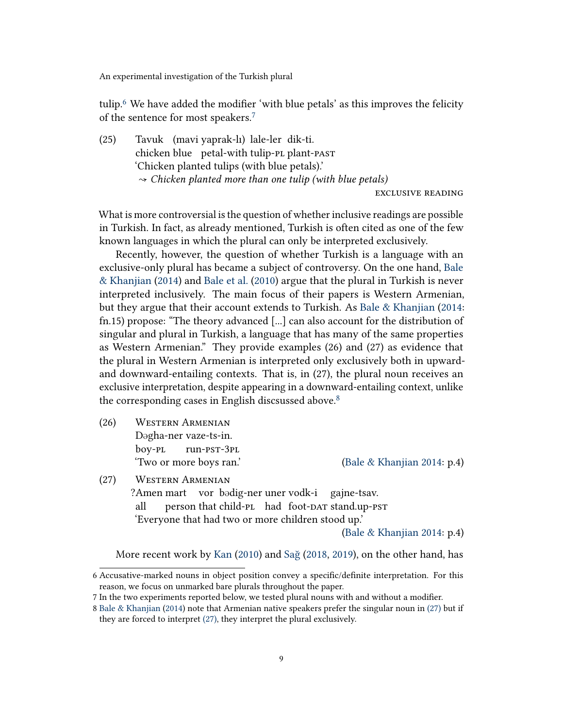tulip.<sup>[6](#page-8-0)</sup> We have added the modifier 'with blue petals' as this improves the felicity of the sentence for most speakers.<sup>[7](#page-8-1)</sup>

(25) Tavuk (mavi yaprak-lı) lale-ler dik-ti. chicken blue petal-with tulip-pl plant-past 'Chicken planted tulips (with blue petals).'  $\sim$  Chicken planted more than one tulip (with blue petals)

EXCLUSIVE READING

What is more controversial is the question of whether inclusive readings are possible in Turkish. In fact, as already mentioned, Turkish is often cited as one of the few known languages in which the plural can only be interpreted exclusively.

Recently, however, the question of whether Turkish is a language with an exclusive-only plural has became a subject of controversy. On the one hand, [Bale](#page-37-0) [& Khanjian](#page-37-0) [\(2014\)](#page-37-0) and [Bale et al.](#page-36-0) [\(2010\)](#page-36-0) argue that the plural in Turkish is never interpreted inclusively. The main focus of their papers is Western Armenian, but they argue that their account extends to Turkish. As [Bale & Khanjian](#page-37-0) [\(2014:](#page-37-0) fn.15) propose: "The theory advanced [...] can also account for the distribution of singular and plural in Turkish, a language that has many of the same properties as Western Armenian." They provide examples (26) and (27) as evidence that the plural in Western Armenian is interpreted only exclusively both in upwardand downward-entailing contexts. That is, in (27), the plural noun receives an exclusive interpretation, despite appearing in a downward-entailing context, unlike the corresponding cases in English discsussed above.<sup>[8](#page-8-2)</sup>

(26) Western Armenian Dəgha-ner vaze-ts-in. boy-pl run-pst-3pl

'Two or more boys ran.' [\(Bale & Khanjian](#page-37-0) [2014:](#page-37-0) p.4)

<span id="page-8-3"></span>(27) Western Armenian ?Amen mart vor bodig-ner uner vodk-i gajne-tsav. all person that child-pl had foot-par stand.up-pst 'Everyone that had two or more children stood up.'

[\(Bale & Khanjian](#page-37-0) [2014:](#page-37-0)  $p.4$ )

More recent work by [Kan](#page-38-2) [\(2010\)](#page-38-2) and [Sağ](#page-39-1) [\(2018,](#page-39-1) [2019\)](#page-39-2), on the other hand, has

<span id="page-8-0"></span><sup>6</sup> Accusative-marked nouns in object position convey a specific/definite interpretation. For this reason, we focus on unmarked bare plurals throughout the paper.

<span id="page-8-1"></span><sup>7</sup> In the two experiments reported below, we tested plural nouns with and without a modier.

<span id="page-8-2"></span><sup>8</sup> [Bale & Khanjian](#page-37-0) [\(2014\)](#page-37-0) note that Armenian native speakers prefer the singular noun in [\(27\)](#page-8-3) but if they are forced to interpret [\(27\),](#page-8-3) they interpret the plural exclusively.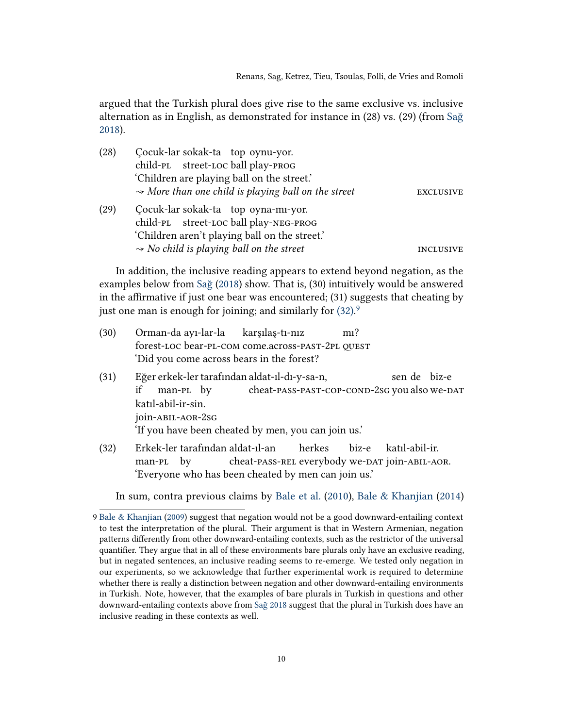argued that the Turkish plural does give rise to the same exclusive vs. inclusive alternation as in English, as demonstrated for instance in (28) vs. (29) (from [Sağ](#page-39-1) [2018\)](#page-39-1).

| (28) | Cocuk-lar sokak-ta top oynu-yor.<br>child-PL street-LOC ball play-PROG<br>'Children are playing ball on the street.'<br>$\sim$ More than one child is playing ball on the street | <b>EXCLUSIVE</b> |
|------|----------------------------------------------------------------------------------------------------------------------------------------------------------------------------------|------------------|
| (29) | Cocuk-lar sokak-ta top oyna-mi-yor.<br>child-PL street-LOC ball play-NEG-PROG<br>'Children aren't playing ball on the street.'<br>$\sim$ No child is playing ball on the street  | <b>INCLUSIVE</b> |

In addition, the inclusive reading appears to extend beyond negation, as the examples below from [Sağ](#page-39-1) [\(2018\)](#page-39-1) show. That is, (30) intuitively would be answered in the affirmative if just one bear was encountered;  $(31)$  suggests that cheating by iust one man is enough for joining; and similarly for  $(32)$ .

| (30) | Orman-da ayı-lar-la karşılaş-tı-nız               | $m1$ ? |
|------|---------------------------------------------------|--------|
|      | forest-LOC bear-PL-COM come.across-PAST-2PL QUEST |        |
|      | 'Did you come across bears in the forest?         |        |

- (31) Eğer erkek-ler tarafından aldat-ıl-dı-y-sa-n, if man-pl by cheat-pass-past-cop-cond-2sg you also we-dat sen de biz-e katıl-abil-ir-sin. join-abil-aor-2sg 'If you have been cheated by men, you can join us.'
- <span id="page-9-0"></span>(32) Erkek-ler tarafından aldat-ıl-an man-pl by cheat-pass-rel everybody we-dat join-abil-aor. herkes biz-e katıl-abil-ir. 'Everyone who has been cheated by men can join us.'

In sum, contra previous claims by [Bale et al.](#page-36-0) [\(2010\)](#page-36-0), [Bale & Khanjian](#page-37-0) [\(2014\)](#page-37-0)

<span id="page-9-1"></span><sup>9</sup> [Bale & Khanjian](#page-37-3) [\(2009\)](#page-37-3) suggest that negation would not be a good downward-entailing context to test the interpretation of the plural. Their argument is that in Western Armenian, negation patterns differently from other downward-entailing contexts, such as the restrictor of the universal quantifier. They argue that in all of these environments bare plurals only have an exclusive reading, but in negated sentences, an inclusive reading seems to re-emerge. We tested only negation in our experiments, so we acknowledge that further experimental work is required to determine whether there is really a distinction between negation and other downward-entailing environments in Turkish. Note, however, that the examples of bare plurals in Turkish in questions and other downward-entailing contexts above from [Sağ](#page-39-1) [2018](#page-39-1) suggest that the plural in Turkish does have an inclusive reading in these contexts as well.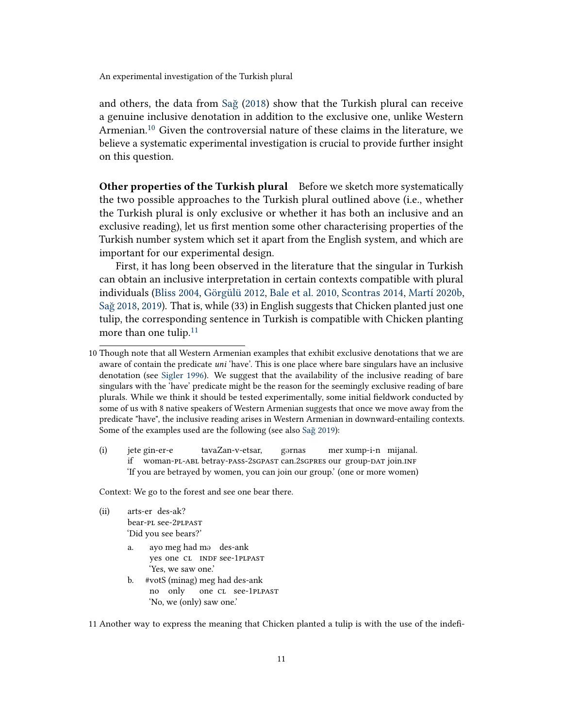and others, the data from [Sağ](#page-39-1) [\(2018\)](#page-39-1) show that the Turkish plural can receive a genuine inclusive denotation in addition to the exclusive one, unlike Western Armenian.<sup>[10](#page-10-0)</sup> Given the controversial nature of these claims in the literature, we believe a systematic experimental investigation is crucial to provide further insight on this question.

Other properties of the Turkish plural Before we sketch more systematically the two possible approaches to the Turkish plural outlined above (i.e., whether the Turkish plural is only exclusive or whether it has both an inclusive and an exclusive reading), let us first mention some other characterising properties of the Turkish number system which set it apart from the English system, and which are important for our experimental design.

First, it has long been observed in the literature that the singular in Turkish can obtain an inclusive interpretation in certain contexts compatible with plural individuals [\(Bliss](#page-37-4) [2004,](#page-37-4) [Görgülü](#page-38-1) [2012,](#page-38-1) [Bale et al.](#page-36-0) [2010,](#page-36-0) [Scontras](#page-39-9) [2014,](#page-39-9) [Martí](#page-39-3) [2020b,](#page-39-3) [Sağ](#page-39-1) [2018,](#page-39-1) [2019\)](#page-39-2). That is, while (33) in English suggests that Chicken planted just one tulip, the corresponding sentence in Turkish is compatible with Chicken planting more than one tulip. $11$ 

(i) iete gin-er-e <u>if</u> woman-pl-abl betray-pass-2sgpast can.2sgpres our group-pat join.inf tavaZan-v-etsar, garnas mer xump-i-n mijanal. 'If you are betrayed by women, you can join our group.' (one or more women)

Context: We go to the forest and see one bear there.

- (ii) arts-er des-ak? bear-pl see-2plpast 'Did you see bears?'
	- a. ayo meg had ma des-ank ves one CL INDF see-1PLPAST 'Yes, we saw one.'
	- b. #votS (minag) meg had des-ank no only one cl see-1plpast 'No, we (only) saw one.'

<span id="page-10-1"></span>11 Another way to express the meaning that Chicken planted a tulip is with the use of the indefi-

<span id="page-10-0"></span><sup>10</sup> Though note that all Western Armenian examples that exhibit exclusive denotations that we are aware of contain the predicate *uni* 'have'. This is one place where bare singulars have an inclusive denotation (see [Sigler](#page-39-10) [1996\)](#page-39-10). We suggest that the availability of the inclusive reading of bare singulars with the 'have' predicate might be the reason for the seemingly exclusive reading of bare plurals. While we think it should be tested experimentally, some initial fieldwork conducted by some of us with 8 native speakers of Western Armenian suggests that once we move away from the predicate "have", the inclusive reading arises in Western Armenian in downward-entailing contexts. Some of the examples used are the following (see also [Sağ](#page-39-2) [2019\)](#page-39-2):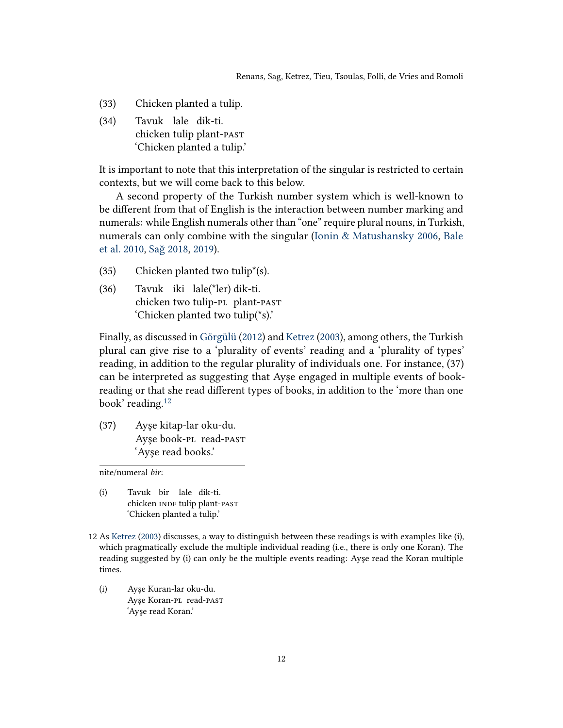- (33) Chicken planted a tulip.
- (34) Tavuk lale dik-ti. chicken tulip plant-past 'Chicken planted a tulip.'

It is important to note that this interpretation of the singular is restricted to certain contexts, but we will come back to this below.

A second property of the Turkish number system which is well-known to be different from that of English is the interaction between number marking and numerals: while English numerals other than "one" require plural nouns, in Turkish, numerals can only combine with the singular [\(Ionin & Matushansky](#page-38-8) [2006,](#page-38-8) [Bale](#page-36-0) [et al.](#page-36-0) [2010,](#page-36-0) [Sağ](#page-39-1) [2018,](#page-39-1) [2019\)](#page-39-2).

- (35) Chicken planted two tulip<sup>\*</sup>(s).
- (36) Tavuk iki lale(\*ler) dik-ti. chicken two tulip-pl plant-past 'Chicken planted two tulip(\*s).'

Finally, as discussed in [Görgülü](#page-38-1) [\(2012\)](#page-38-1) and [Ketrez](#page-38-9) [\(2003\)](#page-38-9), among others, the Turkish plural can give rise to a 'plurality of events' reading and a 'plurality of types' reading, in addition to the regular plurality of individuals one. For instance, (37) can be interpreted as suggesting that Ayşe engaged in multiple events of bookreading or that she read different types of books, in addition to the 'more than one book' reading.[12](#page-11-0)

<span id="page-11-1"></span>(37) Ayşe kitap-lar oku-du. Ayşe book-pl read-past 'Ayşe read books.'

nite/numeral bir:

(i) Tavuk bir lale dik-ti. chicken INDF tulip plant-past 'Chicken planted a tulip.'

- <span id="page-11-0"></span>12 As [Ketrez](#page-38-9) [\(2003\)](#page-38-9) discusses, a way to distinguish between these readings is with examples like (i), which pragmatically exclude the multiple individual reading (i.e., there is only one Koran). The reading suggested by (i) can only be the multiple events reading: Ayşe read the Koran multiple times.
	- (i) Ayşe Kuran-lar oku-du. Ayşe Koran-pl read-past 'Ayşe read Koran.'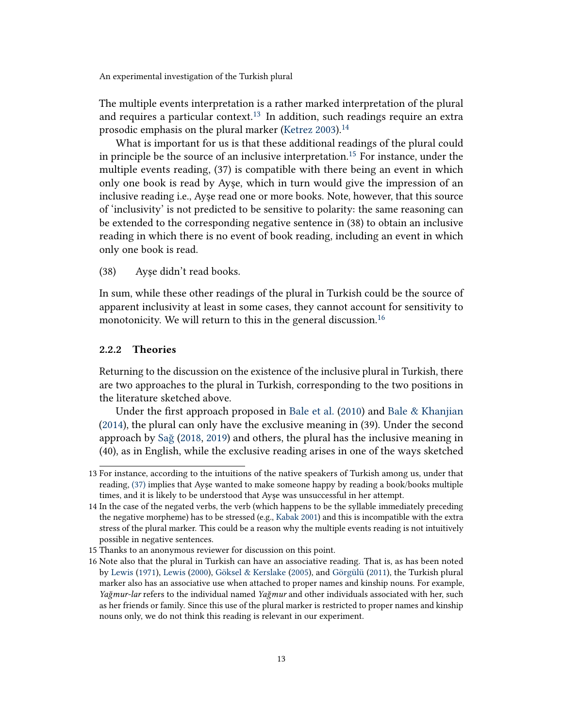The multiple events interpretation is a rather marked interpretation of the plural and requires a particular context.<sup>[13](#page-12-0)</sup> In addition, such readings require an extra prosodic emphasis on the plural marker [\(Ketrez](#page-38-9) [2003\)](#page-38-9).<sup>[14](#page-12-1)</sup>

What is important for us is that these additional readings of the plural could in principle be the source of an inclusive interpretation.<sup>[15](#page-12-2)</sup> For instance, under the multiple events reading, (37) is compatible with there being an event in which only one book is read by Ayşe, which in turn would give the impression of an inclusive reading i.e., Ayşe read one or more books. Note, however, that this source of 'inclusivity' is not predicted to be sensitive to polarity: the same reasoning can be extended to the corresponding negative sentence in (38) to obtain an inclusive reading in which there is no event of book reading, including an event in which only one book is read.

#### (38) Ayşe didn't read books.

In sum, while these other readings of the plural in Turkish could be the source of apparent inclusivity at least in some cases, they cannot account for sensitivity to monotonicity. We will return to this in the general discussion.<sup>[16](#page-12-3)</sup>

## 2.2.2 Theories

Returning to the discussion on the existence of the inclusive plural in Turkish, there are two approaches to the plural in Turkish, corresponding to the two positions in the literature sketched above.

Under the first approach proposed in [Bale et al.](#page-36-0) [\(2010\)](#page-36-0) and [Bale & Khanjian](#page-37-0) [\(2014\)](#page-37-0), the plural can only have the exclusive meaning in (39). Under the second approach by [Sağ](#page-39-1) [\(2018,](#page-39-1) [2019\)](#page-39-2) and others, the plural has the inclusive meaning in (40), as in English, while the exclusive reading arises in one of the ways sketched

<span id="page-12-0"></span><sup>13</sup> For instance, according to the intuitions of the native speakers of Turkish among us, under that reading, [\(37\)](#page-11-1) implies that Ayşe wanted to make someone happy by reading a book/books multiple times, and it is likely to be understood that Ayşe was unsuccessful in her attempt.

<span id="page-12-1"></span><sup>14</sup> In the case of the negated verbs, the verb (which happens to be the syllable immediately preceding the negative morpheme) has to be stressed (e.g., [Kabak](#page-38-10) [2001\)](#page-38-10) and this is incompatible with the extra stress of the plural marker. This could be a reason why the multiple events reading is not intuitively possible in negative sentences.

<span id="page-12-2"></span><sup>15</sup> Thanks to an anonymous reviewer for discussion on this point.

<span id="page-12-3"></span><sup>16</sup> Note also that the plural in Turkish can have an associative reading. That is, as has been noted by [Lewis](#page-38-11) [\(1971\)](#page-38-11), [Lewis](#page-38-12) [\(2000\)](#page-38-12), [Göksel & Kerslake](#page-37-5) [\(2005\)](#page-37-5), and [Görgülü](#page-37-6) [\(2011\)](#page-37-6), the Turkish plural marker also has an associative use when attached to proper names and kinship nouns. For example, Yağmur-lar refers to the individual named Yağmur and other individuals associated with her, such as her friends or family. Since this use of the plural marker is restricted to proper names and kinship nouns only, we do not think this reading is relevant in our experiment.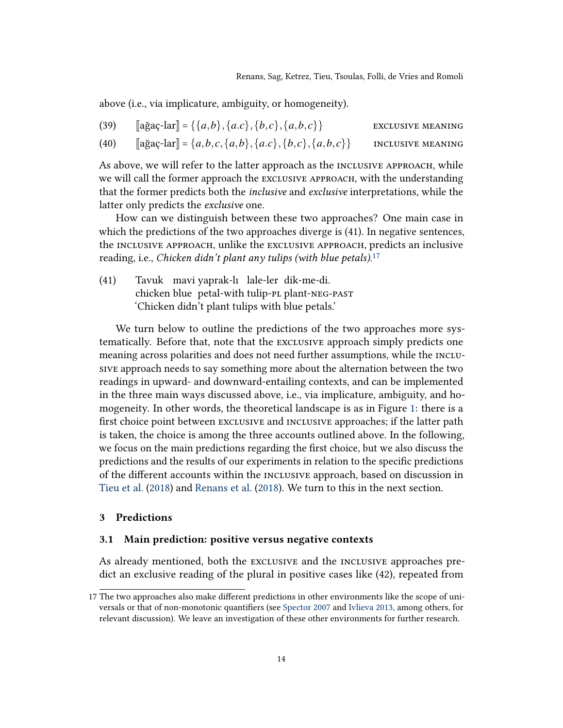above (i.e., via implicature, ambiguity, or homogeneity).

- (39)  $[\text{agg-lar}] = {\{a,b\}, \{a,c\}, \{b,c\}, \{a,b,c\}}$  exclusive meaning<br>(40)  $[\text{agg-lar}] = {a,b,c, \{a,b\}, \{a,c\}, \{b,c\}, \{a,b,c\}}$  inclusive meaning
- $[\text{agg-lar}] = {a,b,c, {a,b}, {a,c}, {b,c}, {a,b,c}}$  inclusive meaning

As above, we will refer to the latter approach as the inclusive approach, while we will call the former approach the exclusive approach, with the understanding that the former predicts both the *inclusive* and exclusive interpretations, while the latter only predicts the exclusive one.

How can we distinguish between these two approaches? One main case in which the predictions of the two approaches diverge is (41). In negative sentences, the inclusive approach, unlike the exclusive approach, predicts an inclusive reading, i.e., Chicken didn't plant any tulips (with blue petals). $^{17}$  $^{17}$  $^{17}$ 

(41) Tavuk mavi yaprak-lı lale-ler dik-me-di. chicken blue petal-with tulip-pl plant-NEG-PAST 'Chicken didn't plant tulips with blue petals.'

We turn below to outline the predictions of the two approaches more systematically. Before that, note that the exclusive approach simply predicts one meaning across polarities and does not need further assumptions, while the INCLUsive approach needs to say something more about the alternation between the two readings in upward- and downward-entailing contexts, and can be implemented in the three main ways discussed above, i.e., via implicature, ambiguity, and homogeneity. In other words, the theoretical landscape is as in Figure [1:](#page-14-0) there is a first choice point between EXCLUSIVE and INCLUSIVE approaches; if the latter path is taken, the choice is among the three accounts outlined above. In the following, we focus on the main predictions regarding the first choice, but we also discuss the predictions and the results of our experiments in relation to the specific predictions of the different accounts within the INCLUSIVE approach, based on discussion in [Tieu et al.](#page-39-11) [\(2018\)](#page-39-11) and [Renans et al.](#page-39-12) [\(2018\)](#page-39-12). We turn to this in the next section.

## <span id="page-13-0"></span>3 Predictions

## 3.1 Main prediction: positive versus negative contexts

As already mentioned, both the exclusive and the inclusive approaches predict an exclusive reading of the plural in positive cases like (42), repeated from

<span id="page-13-1"></span><sup>17</sup> The two approaches also make different predictions in other environments like the scope of uni-versals or that of non-monotonic quantifiers (see [Spector](#page-39-4) [2007](#page-39-4) and [Ivlieva](#page-38-3) [2013,](#page-38-3) among others, for relevant discussion). We leave an investigation of these other environments for further research.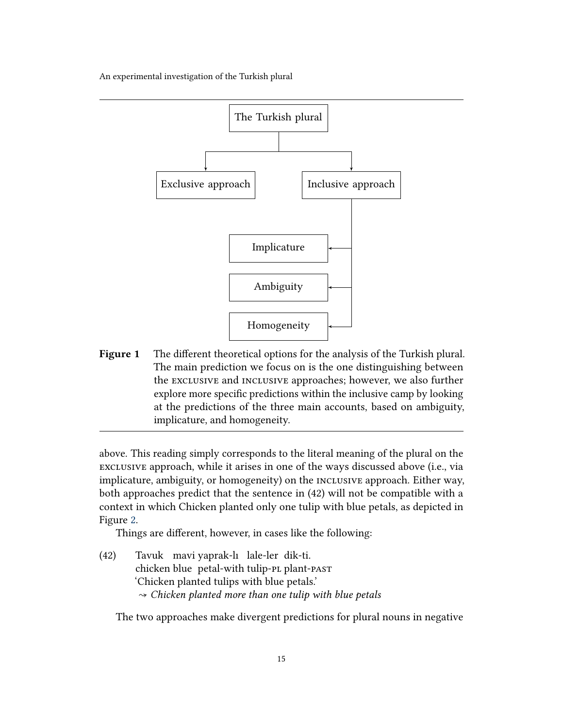

<span id="page-14-0"></span>Figure 1 The different theoretical options for the analysis of the Turkish plural. The main prediction we focus on is the one distinguishing between the exclusive and inclusive approaches; however, we also further explore more specific predictions within the inclusive camp by looking at the predictions of the three main accounts, based on ambiguity, implicature, and homogeneity.

above. This reading simply corresponds to the literal meaning of the plural on the exclusive approach, while it arises in one of the ways discussed above (i.e., via implicature, ambiguity, or homogeneity) on the INCLUSIVE approach. Either way, both approaches predict that the sentence in (42) will not be compatible with a context in which Chicken planted only one tulip with blue petals, as depicted in Figure [2.](#page-15-0)

Things are different, however, in cases like the following:

<span id="page-14-1"></span>(42) Tavuk mavi yaprak-lı lale-ler dik-ti. chicken blue petal-with tulip-pl plant-past 'Chicken planted tulips with blue petals.'  $\sim$  Chicken planted more than one tulip with blue petals

The two approaches make divergent predictions for plural nouns in negative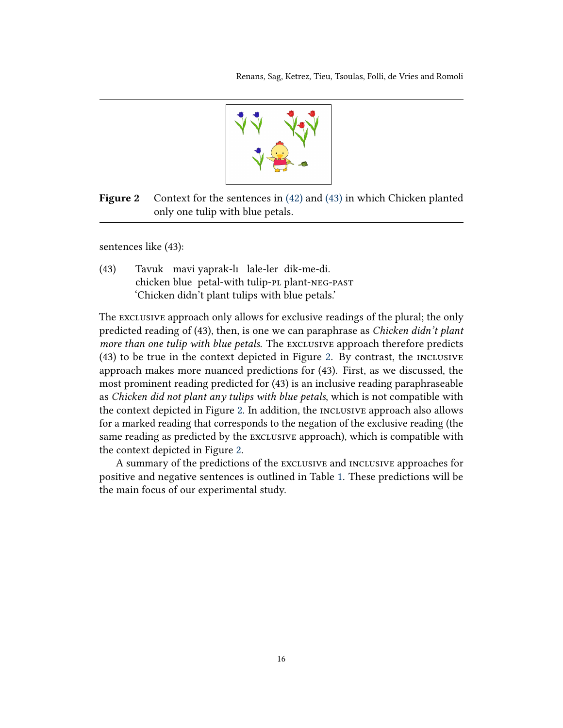<span id="page-15-0"></span>

**Figure 2** Context for the sentences in  $(42)$  and  $(43)$  in which Chicken planted only one tulip with blue petals.

sentences like (43):

<span id="page-15-1"></span>(43) Tavuk mavi yaprak-lı lale-ler dik-me-di. chicken blue petal-with tulip-pl plant-NEG-PAST 'Chicken didn't plant tulips with blue petals.'

The exclusive approach only allows for exclusive readings of the plural; the only predicted reading of (43), then, is one we can paraphrase as *Chicken didn't plant* more than one tulip with blue petals. The EXCLUSIVE approach therefore predicts (43) to be true in the context depicted in Figure [2.](#page-15-0) By contrast, the inclusive approach makes more nuanced predictions for (43). First, as we discussed, the most prominent reading predicted for (43) is an inclusive reading paraphraseable as Chicken did not plant any tulips with blue petals, which is not compatible with the context depicted in Figure [2.](#page-15-0) In addition, the INCLUSIVE approach also allows for a marked reading that corresponds to the negation of the exclusive reading (the same reading as predicted by the EXCLUSIVE approach), which is compatible with the context depicted in Figure [2.](#page-15-0)

A summary of the predictions of the exclusive and inclusive approaches for positive and negative sentences is outlined in Table [1.](#page-16-0) These predictions will be the main focus of our experimental study.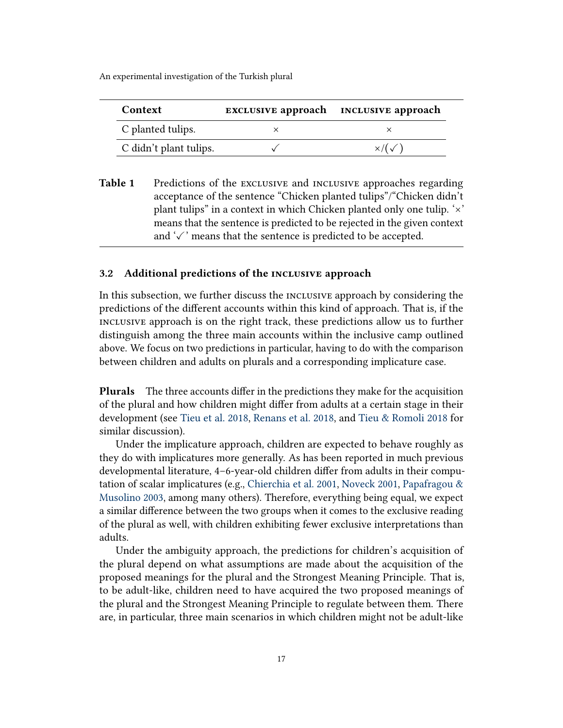| Context                | <b>EXCLUSIVE approach</b> INCLUSIVE approach |                          |
|------------------------|----------------------------------------------|--------------------------|
| C planted tulips.      |                                              |                          |
| C didn't plant tulips. |                                              | $\times$ /( $\checkmark$ |

<span id="page-16-0"></span>Table 1 Predictions of the EXCLUSIVE and INCLUSIVE approaches regarding acceptance of the sentence "Chicken planted tulips"/"Chicken didn't plant tulips" in a context in which Chicken planted only one tulip. '×' means that the sentence is predicted to be rejected in the given context and  $\sqrt{'}$  means that the sentence is predicted to be accepted.

## 3.2 Additional predictions of the INCLUSIVE approach

In this subsection, we further discuss the INCLUSIVE approach by considering the predictions of the different accounts within this kind of approach. That is, if the inclusive approach is on the right track, these predictions allow us to further distinguish among the three main accounts within the inclusive camp outlined above. We focus on two predictions in particular, having to do with the comparison between children and adults on plurals and a corresponding implicature case.

Plurals The three accounts differ in the predictions they make for the acquisition of the plural and how children might differ from adults at a certain stage in their development (see [Tieu et al.](#page-39-11) [2018,](#page-39-11) [Renans et al.](#page-39-12) [2018,](#page-39-12) and [Tieu & Romoli](#page-40-1) [2018](#page-40-1) for similar discussion).

Under the implicature approach, children are expected to behave roughly as they do with implicatures more generally. As has been reported in much previous developmental literature, 4-6-year-old children differ from adults in their computation of scalar implicatures (e.g., [Chierchia et al.](#page-37-7) [2001,](#page-37-7) [Noveck](#page-39-13) [2001,](#page-39-13) [Papafragou &](#page-39-14) [Musolino](#page-39-14) [2003,](#page-39-14) among many others). Therefore, everything being equal, we expect a similar difference between the two groups when it comes to the exclusive reading of the plural as well, with children exhibiting fewer exclusive interpretations than adults.

Under the ambiguity approach, the predictions for children's acquisition of the plural depend on what assumptions are made about the acquisition of the proposed meanings for the plural and the Strongest Meaning Principle. That is, to be adult-like, children need to have acquired the two proposed meanings of the plural and the Strongest Meaning Principle to regulate between them. There are, in particular, three main scenarios in which children might not be adult-like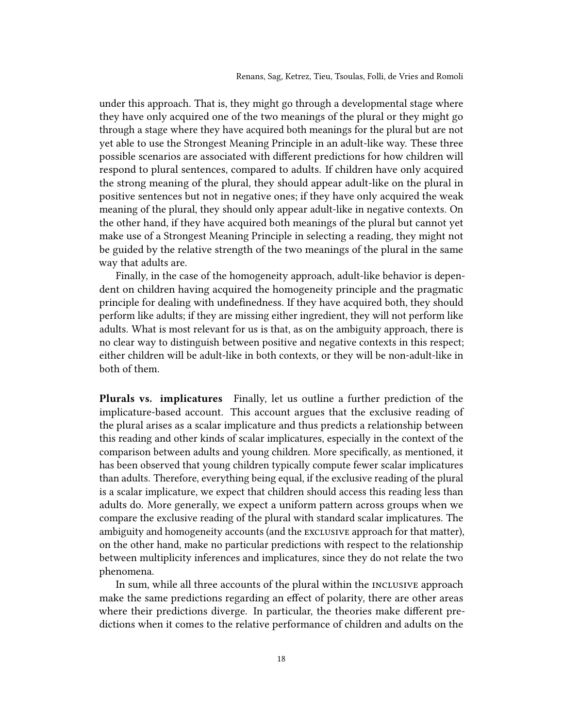under this approach. That is, they might go through a developmental stage where they have only acquired one of the two meanings of the plural or they might go through a stage where they have acquired both meanings for the plural but are not yet able to use the Strongest Meaning Principle in an adult-like way. These three possible scenarios are associated with different predictions for how children will respond to plural sentences, compared to adults. If children have only acquired the strong meaning of the plural, they should appear adult-like on the plural in positive sentences but not in negative ones; if they have only acquired the weak meaning of the plural, they should only appear adult-like in negative contexts. On the other hand, if they have acquired both meanings of the plural but cannot yet make use of a Strongest Meaning Principle in selecting a reading, they might not be guided by the relative strength of the two meanings of the plural in the same way that adults are.

Finally, in the case of the homogeneity approach, adult-like behavior is dependent on children having acquired the homogeneity principle and the pragmatic principle for dealing with undefinedness. If they have acquired both, they should perform like adults; if they are missing either ingredient, they will not perform like adults. What is most relevant for us is that, as on the ambiguity approach, there is no clear way to distinguish between positive and negative contexts in this respect; either children will be adult-like in both contexts, or they will be non-adult-like in both of them.

Plurals vs. implicatures Finally, let us outline a further prediction of the implicature-based account. This account argues that the exclusive reading of the plural arises as a scalar implicature and thus predicts a relationship between this reading and other kinds of scalar implicatures, especially in the context of the comparison between adults and young children. More specifically, as mentioned, it has been observed that young children typically compute fewer scalar implicatures than adults. Therefore, everything being equal, if the exclusive reading of the plural is a scalar implicature, we expect that children should access this reading less than adults do. More generally, we expect a uniform pattern across groups when we compare the exclusive reading of the plural with standard scalar implicatures. The ambiguity and homogeneity accounts (and the EXCLUSIVE approach for that matter), on the other hand, make no particular predictions with respect to the relationship between multiplicity inferences and implicatures, since they do not relate the two phenomena.

In sum, while all three accounts of the plural within the INCLUSIVE approach make the same predictions regarding an effect of polarity, there are other areas where their predictions diverge. In particular, the theories make different predictions when it comes to the relative performance of children and adults on the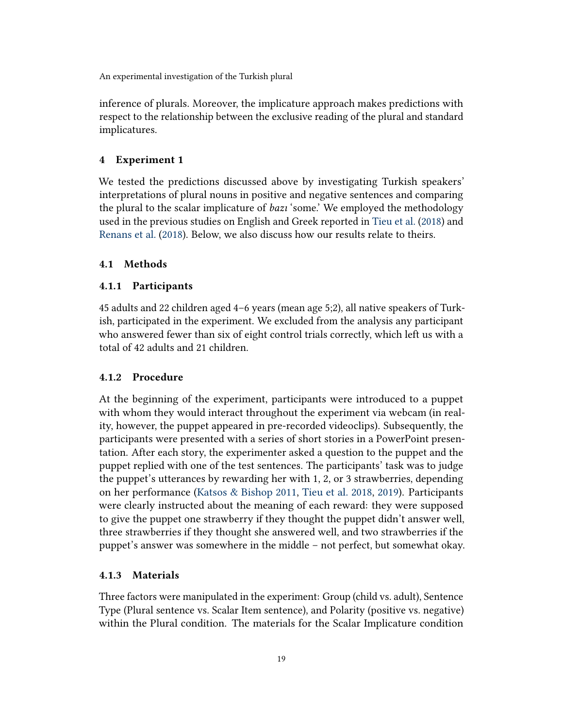inference of plurals. Moreover, the implicature approach makes predictions with respect to the relationship between the exclusive reading of the plural and standard implicatures.

# <span id="page-18-0"></span>4 Experiment 1

We tested the predictions discussed above by investigating Turkish speakers' interpretations of plural nouns in positive and negative sentences and comparing the plural to the scalar implicature of bazı 'some.' We employed the methodology used in the previous studies on English and Greek reported in [Tieu et al.](#page-39-11) [\(2018\)](#page-39-11) and [Renans et al.](#page-39-12) [\(2018\)](#page-39-12). Below, we also discuss how our results relate to theirs.

# 4.1 Methods

# 4.1.1 Participants

45 adults and 22 children aged 4–6 years (mean age 5;2), all native speakers of Turkish, participated in the experiment. We excluded from the analysis any participant who answered fewer than six of eight control trials correctly, which left us with a total of 42 adults and 21 children.

## 4.1.2 Procedure

At the beginning of the experiment, participants were introduced to a puppet with whom they would interact throughout the experiment via webcam (in reality, however, the puppet appeared in pre-recorded videoclips). Subsequently, the participants were presented with a series of short stories in a PowerPoint presentation. After each story, the experimenter asked a question to the puppet and the puppet replied with one of the test sentences. The participants' task was to judge the puppet's utterances by rewarding her with 1, 2, or 3 strawberries, depending on her performance [\(Katsos & Bishop](#page-38-13) [2011,](#page-38-13) [Tieu et al.](#page-39-11) [2018,](#page-39-11) [2019\)](#page-40-2). Participants were clearly instructed about the meaning of each reward: they were supposed to give the puppet one strawberry if they thought the puppet didn't answer well, three strawberries if they thought she answered well, and two strawberries if the puppet's answer was somewhere in the middle – not perfect, but somewhat okay.

## 4.1.3 Materials

Three factors were manipulated in the experiment: Group (child vs. adult), Sentence Type (Plural sentence vs. Scalar Item sentence), and Polarity (positive vs. negative) within the Plural condition. The materials for the Scalar Implicature condition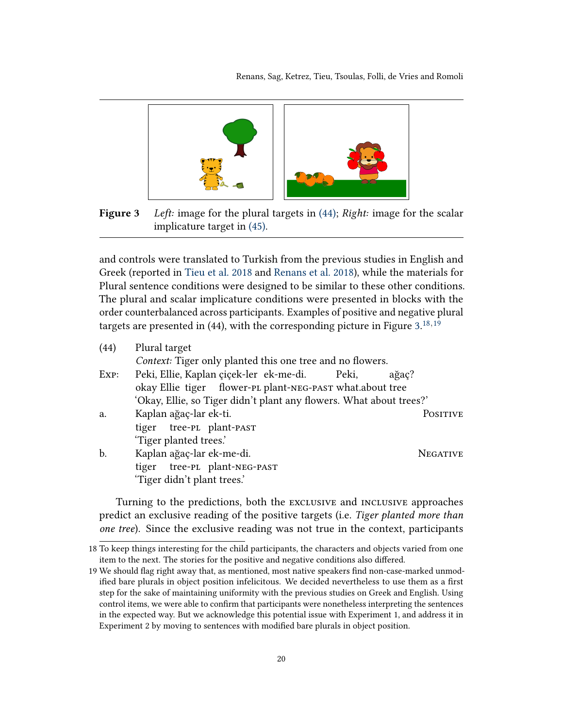<span id="page-19-1"></span>

Figure 3 Left: image for the plural targets in [\(44\);](#page-19-0) Right: image for the scalar implicature target in [\(45\).](#page-20-0)

and controls were translated to Turkish from the previous studies in English and Greek (reported in [Tieu et al.](#page-39-11) [2018](#page-39-11) and [Renans et al.](#page-39-12) [2018\)](#page-39-12), while the materials for Plural sentence conditions were designed to be similar to these other conditions. The plural and scalar implicature conditions were presented in blocks with the order counterbalanced across participants. Examples of positive and negative plural targets are presented in (44), with the corresponding picture in Figure  $3^{18,19}$  $3^{18,19}$  $3^{18,19}$  $3^{18,19}$  $3^{18,19}$ 

<span id="page-19-0"></span>

| Context: Tiger only planted this one tree and no flowers. |                                                                                               |  |
|-----------------------------------------------------------|-----------------------------------------------------------------------------------------------|--|
| Peki, Ellie, Kaplan çiçek-ler ek-me-di.<br>Peki,          |                                                                                               |  |
| okay Ellie tiger flower-PL plant-NEG-PAST what.about tree |                                                                                               |  |
|                                                           |                                                                                               |  |
| Kaplan ağaç-lar ek-ti.                                    | <b>POSITIVE</b>                                                                               |  |
| tiger tree-PL plant-PAST                                  |                                                                                               |  |
| 'Tiger planted trees.'                                    |                                                                                               |  |
| Kaplan ağaç-lar ek-me-di.                                 | <b>NEGATIVE</b>                                                                               |  |
| tiger tree-PL plant-NEG-PAST                              |                                                                                               |  |
| 'Tiger didn't plant trees.'                               |                                                                                               |  |
|                                                           | Plural target<br>ağaç?<br>'Okay, Ellie, so Tiger didn't plant any flowers. What about trees?' |  |

Turning to the predictions, both the exclusive and inclusive approaches predict an exclusive reading of the positive targets (i.e. Tiger planted more than one tree). Since the exclusive reading was not true in the context, participants

<span id="page-19-2"></span><sup>18</sup> To keep things interesting for the child participants, the characters and objects varied from one item to the next. The stories for the positive and negative conditions also differed.

<span id="page-19-3"></span><sup>19</sup> We should flag right away that, as mentioned, most native speakers find non-case-marked unmodified bare plurals in object position infelicitous. We decided nevertheless to use them as a first step for the sake of maintaining uniformity with the previous studies on Greek and English. Using control items, we were able to confirm that participants were nonetheless interpreting the sentences in the expected way. But we acknowledge this potential issue with Experiment 1, and address it in Experiment 2 by moving to sentences with modified bare plurals in object position.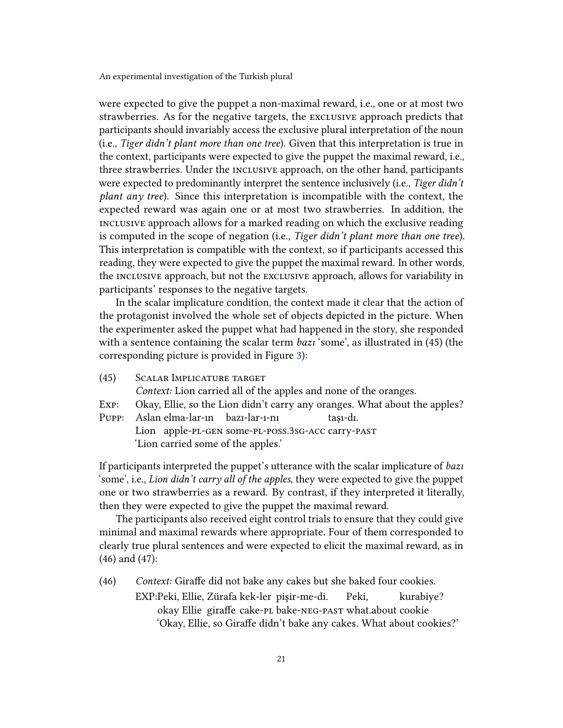were expected to give the puppet a non-maximal reward, i.e., one or at most two strawberries. As for the negative targets, the exclusive approach predicts that participants should invariably access the exclusive plural interpretation of the noun (i.e., Tiger didn't plant more than one tree). Given that this interpretation is true in the context, participants were expected to give the puppet the maximal reward, i.e., three strawberries. Under the inclusive approach, on the other hand, participants were expected to predominantly interpret the sentence inclusively (i.e., Tiger didn't plant any tree). Since this interpretation is incompatible with the context, the expected reward was again one or at most two strawberries. In addition, the inclusive approach allows for a marked reading on which the exclusive reading is computed in the scope of negation (i.e., Tiger didn't plant more than one tree). This interpretation is compatible with the context, so if participants accessed this reading, they were expected to give the puppet the maximal reward. In other words, the inclusive approach, but not the exclusive approach, allows for variability in participants' responses to the negative targets.

In the scalar implicature condition, the context made it clear that the action of the protagonist involved the whole set of objects depicted in the picture. When the experimenter asked the puppet what had happened in the story, she responded with a sentence containing the scalar term *bazi* 'some', as illustrated in (45) (the corresponding picture is provided in Figure [3\)](#page-19-1):

<span id="page-20-0"></span>(45) Scalar Implicature target

Context: Lion carried all of the apples and none of the oranges.

- Exp: Okay, Ellie, so the Lion didn't carry any oranges. What about the apples?
- Pupp: Aslan elma-lar-ın bazı-lar-ı-nı Lion apple-pl-gen some-pl-poss.3sg-acc carry-past taşı-dı. 'Lion carried some of the apples.'

If participants interpreted the puppet's utterance with the scalar implicature of bazi 'some', i.e., Lion didn't carry all of the apples, they were expected to give the puppet one or two strawberries as a reward. By contrast, if they interpreted it literally, then they were expected to give the puppet the maximal reward.

The participants also received eight control trials to ensure that they could give minimal and maximal rewards where appropriate. Four of them corresponded to clearly true plural sentences and were expected to elicit the maximal reward, as in (46) and (47):

 $(46)$  Context: Giraffe did not bake any cakes but she baked four cookies. EXP:Peki, Ellie, Zürafa kek-ler pişir-me-di. okay Ellie giraffe cake-pL bake-neg-past what.about cookie Peki, kurabiye? 'Okay, Ellie, so Giraffe didn't bake any cakes. What about cookies?'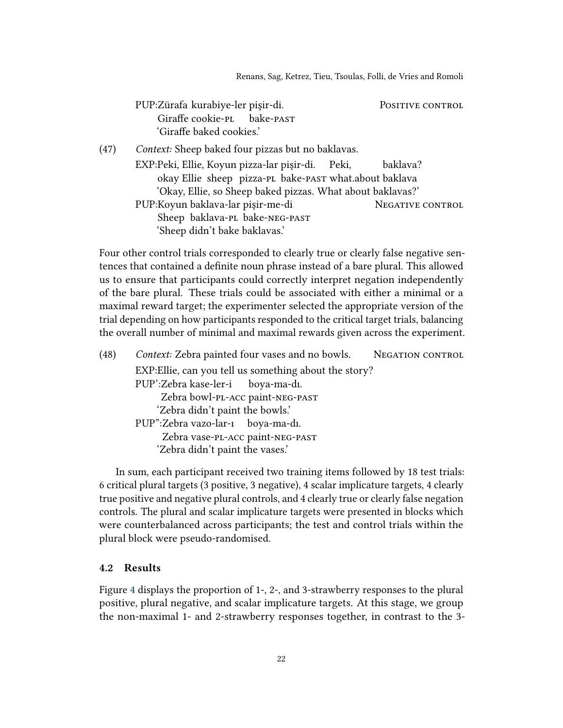|      | PUP:Zürafa kurabiye-ler pişir-di.<br>Giraffe cookie-PL bake-PAST<br>'Giraffe baked cookies.' | POSITIVE CONTROL        |
|------|----------------------------------------------------------------------------------------------|-------------------------|
| (47) | Context: Sheep baked four pizzas but no baklavas.                                            |                         |
|      | EXP:Peki, Ellie, Koyun pizza-lar pişir-di. Peki,                                             | baklava?                |
|      | okay Ellie sheep pizza-PL bake-PAST what.about baklava                                       |                         |
|      | 'Okay, Ellie, so Sheep baked pizzas. What about baklavas?'                                   |                         |
|      | PUP:Koyun baklava-lar pişir-me-di                                                            | <b>NEGATIVE CONTROL</b> |
|      | Sheep baklava-PL bake-NEG-PAST                                                               |                         |
|      | 'Sheep didn't bake baklavas.'                                                                |                         |

Four other control trials corresponded to clearly true or clearly false negative sentences that contained a definite noun phrase instead of a bare plural. This allowed us to ensure that participants could correctly interpret negation independently of the bare plural. These trials could be associated with either a minimal or a maximal reward target; the experimenter selected the appropriate version of the trial depending on how participants responded to the critical target trials, balancing the overall number of minimal and maximal rewards given across the experiment.

| (48) | Context: Zebra painted four vases and no bowls.        | NEGATION CONTROL |
|------|--------------------------------------------------------|------------------|
|      | EXP: Ellie, can you tell us something about the story? |                  |
|      | PUP':Zebra kase-ler-i boya-ma-dı.                      |                  |
|      | Zebra bowl-PL-ACC paint-NEG-PAST                       |                  |
|      | 'Zebra didn't paint the bowls.'                        |                  |
|      | PUP":Zebra vazo-lar-1 boya-ma-dı.                      |                  |
|      | Zebra vase-PL-ACC paint-NEG-PAST                       |                  |
|      | 'Zebra didn't paint the vases.'                        |                  |
|      |                                                        |                  |

In sum, each participant received two training items followed by 18 test trials: 6 critical plural targets (3 positive, 3 negative), 4 scalar implicature targets, 4 clearly true positive and negative plural controls, and 4 clearly true or clearly false negation controls. The plural and scalar implicature targets were presented in blocks which were counterbalanced across participants; the test and control trials within the plural block were pseudo-randomised.

#### 4.2 Results

Figure [4](#page-22-0) displays the proportion of 1-, 2-, and 3-strawberry responses to the plural positive, plural negative, and scalar implicature targets. At this stage, we group the non-maximal 1- and 2-strawberry responses together, in contrast to the 3-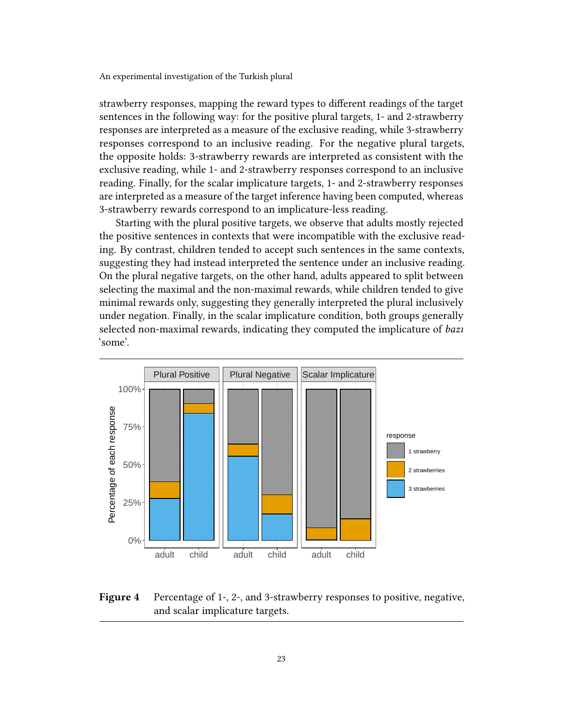strawberry responses, mapping the reward types to different readings of the target sentences in the following way: for the positive plural targets, 1- and 2-strawberry responses are interpreted as a measure of the exclusive reading, while 3-strawberry responses correspond to an inclusive reading. For the negative plural targets, the opposite holds: 3-strawberry rewards are interpreted as consistent with the exclusive reading, while 1- and 2-strawberry responses correspond to an inclusive reading. Finally, for the scalar implicature targets, 1- and 2-strawberry responses are interpreted as a measure of the target inference having been computed, whereas 3-strawberry rewards correspond to an implicature-less reading.

Starting with the plural positive targets, we observe that adults mostly rejected the positive sentences in contexts that were incompatible with the exclusive reading. By contrast, children tended to accept such sentences in the same contexts, suggesting they had instead interpreted the sentence under an inclusive reading. On the plural negative targets, on the other hand, adults appeared to split between selecting the maximal and the non-maximal rewards, while children tended to give minimal rewards only, suggesting they generally interpreted the plural inclusively under negation. Finally, in the scalar implicature condition, both groups generally selected non-maximal rewards, indicating they computed the implicature of bazi 'some'.



<span id="page-22-0"></span>Figure 4 Percentage of 1-, 2-, and 3-strawberry responses to positive, negative, and scalar implicature targets.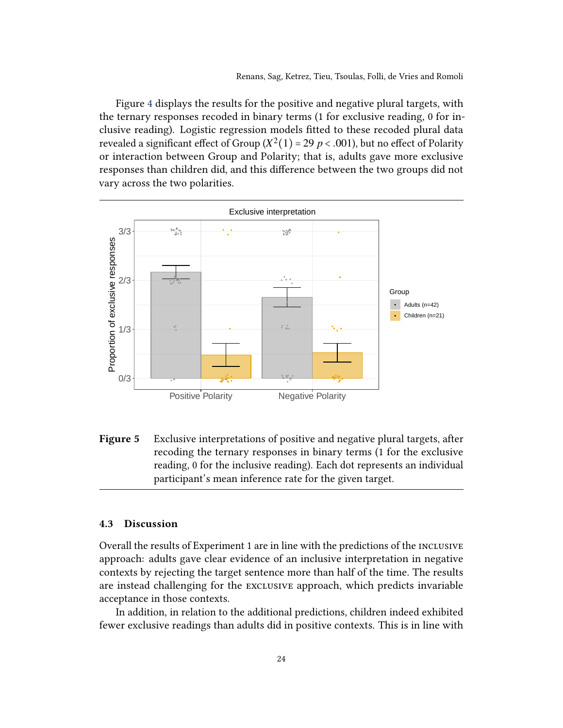Figure [4](#page-22-0) displays the results for the positive and negative plural targets, with the ternary responses recoded in binary terms (1 for exclusive reading, 0 for inclusive reading). Logistic regression models tted to these recoded plural data revealed a significant effect of Group  $(X^2(1) = 29 \, p < .001)$ , but no effect of Polarity or interaction between Group and Polarity; that is, adults gave more exclusive responses than children did, and this difference between the two groups did not vary across the two polarities.



Figure 5 Exclusive interpretations of positive and negative plural targets, after recoding the ternary responses in binary terms (1 for the exclusive reading, 0 for the inclusive reading). Each dot represents an individual participant's mean inference rate for the given target.

## 4.3 Discussion

Overall the results of Experiment 1 are in line with the predictions of the inclusive approach: adults gave clear evidence of an inclusive interpretation in negative contexts by rejecting the target sentence more than half of the time. The results are instead challenging for the exclusive approach, which predicts invariable acceptance in those contexts.

In addition, in relation to the additional predictions, children indeed exhibited fewer exclusive readings than adults did in positive contexts. This is in line with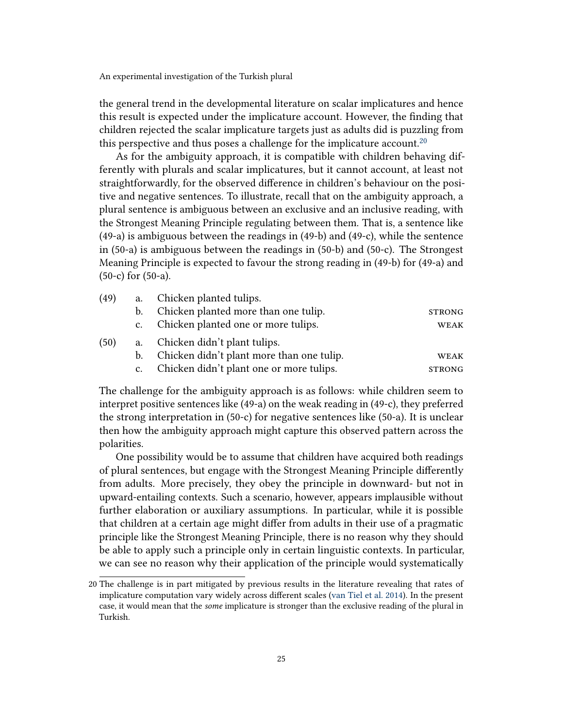the general trend in the developmental literature on scalar implicatures and hence this result is expected under the implicature account. However, the finding that children rejected the scalar implicature targets just as adults did is puzzling from this perspective and thus poses a challenge for the implicature account.<sup>[20](#page-24-0)</sup>

As for the ambiguity approach, it is compatible with children behaving differently with plurals and scalar implicatures, but it cannot account, at least not straightforwardly, for the observed difference in children's behaviour on the positive and negative sentences. To illustrate, recall that on the ambiguity approach, a plural sentence is ambiguous between an exclusive and an inclusive reading, with the Strongest Meaning Principle regulating between them. That is, a sentence like (49-a) is ambiguous between the readings in (49-b) and (49-c), while the sentence in (50-a) is ambiguous between the readings in (50-b) and (50-c). The Strongest Meaning Principle is expected to favour the strong reading in (49-b) for (49-a) and (50-c) for (50-a).

| (49) |    | a. Chicken planted tulips.                |               |
|------|----|-------------------------------------------|---------------|
|      | b. | Chicken planted more than one tulip.      | <b>STRONG</b> |
|      |    | c. Chicken planted one or more tulips.    | WEAK          |
| (50) |    | a. Chicken didn't plant tulips.           |               |
|      | b. | Chicken didn't plant more than one tulip. | WEAK          |
|      |    | Chicken didn't plant one or more tulips.  | <b>STRONG</b> |

The challenge for the ambiguity approach is as follows: while children seem to interpret positive sentences like (49-a) on the weak reading in (49-c), they preferred the strong interpretation in (50-c) for negative sentences like (50-a). It is unclear then how the ambiguity approach might capture this observed pattern across the polarities.

One possibility would be to assume that children have acquired both readings of plural sentences, but engage with the Strongest Meaning Principle differently from adults. More precisely, they obey the principle in downward- but not in upward-entailing contexts. Such a scenario, however, appears implausible without further elaboration or auxiliary assumptions. In particular, while it is possible that children at a certain age might differ from adults in their use of a pragmatic principle like the Strongest Meaning Principle, there is no reason why they should be able to apply such a principle only in certain linguistic contexts. In particular, we can see no reason why their application of the principle would systematically

<span id="page-24-0"></span><sup>20</sup> The challenge is in part mitigated by previous results in the literature revealing that rates of implicature computation vary widely across different scales [\(van Tiel et al.](#page-39-15) [2014\)](#page-39-15). In the present case, it would mean that the some implicature is stronger than the exclusive reading of the plural in Turkish.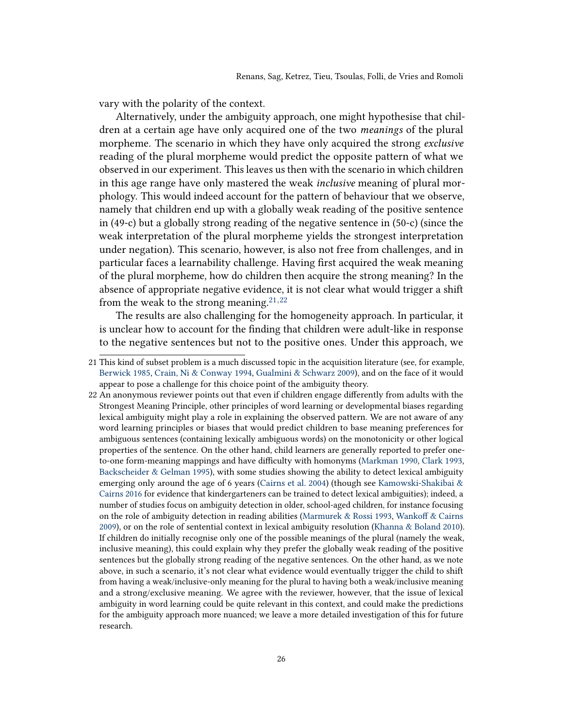vary with the polarity of the context.

Alternatively, under the ambiguity approach, one might hypothesise that children at a certain age have only acquired one of the two meanings of the plural morpheme. The scenario in which they have only acquired the strong exclusive reading of the plural morpheme would predict the opposite pattern of what we observed in our experiment. This leaves us then with the scenario in which children in this age range have only mastered the weak inclusive meaning of plural morphology. This would indeed account for the pattern of behaviour that we observe, namely that children end up with a globally weak reading of the positive sentence in (49-c) but a globally strong reading of the negative sentence in (50-c) (since the weak interpretation of the plural morpheme yields the strongest interpretation under negation). This scenario, however, is also not free from challenges, and in particular faces a learnability challenge. Having first acquired the weak meaning of the plural morpheme, how do children then acquire the strong meaning? In the absence of appropriate negative evidence, it is not clear what would trigger a shift from the weak to the strong meaning.  $21,22$  $21,22$  $21,22$ 

The results are also challenging for the homogeneity approach. In particular, it is unclear how to account for the finding that children were adult-like in response to the negative sentences but not to the positive ones. Under this approach, we

<span id="page-25-0"></span><sup>21</sup> This kind of subset problem is a much discussed topic in the acquisition literature (see, for example, [Berwick](#page-37-8) [1985,](#page-37-8) [Crain, Ni & Conway](#page-37-9) [1994,](#page-37-9) [Gualmini & Schwarz](#page-38-14) [2009\)](#page-38-14), and on the face of it would appear to pose a challenge for this choice point of the ambiguity theory.

<span id="page-25-1"></span><sup>22</sup> An anonymous reviewer points out that even if children engage differently from adults with the Strongest Meaning Principle, other principles of word learning or developmental biases regarding lexical ambiguity might play a role in explaining the observed pattern. We are not aware of any word learning principles or biases that would predict children to base meaning preferences for ambiguous sentences (containing lexically ambiguous words) on the monotonicity or other logical properties of the sentence. On the other hand, child learners are generally reported to prefer one-to-one form-meaning mappings and have difficulty with homonyms [\(Markman](#page-38-15) [1990,](#page-38-15) [Clark](#page-37-10) [1993,](#page-37-10) [Backscheider & Gelman](#page-36-2) [1995\)](#page-36-2), with some studies showing the ability to detect lexical ambiguity emerging only around the age of 6 years [\(Cairns et al.](#page-37-11) [2004\)](#page-37-11) (though see Kamowski-Shakibai  $\&$ [Cairns](#page-38-16) [2016](#page-38-16) for evidence that kindergarteners can be trained to detect lexical ambiguities); indeed, a number of studies focus on ambiguity detection in older, school-aged children, for instance focusing on the role of ambiguity detection in reading abilities [\(Marmurek & Rossi](#page-38-17) [1993,](#page-38-17) Wankoff & Cairns [2009\)](#page-40-3), or on the role of sentential context in lexical ambiguity resolution [\(Khanna & Boland](#page-38-18) [2010\)](#page-38-18). If children do initially recognise only one of the possible meanings of the plural (namely the weak, inclusive meaning), this could explain why they prefer the globally weak reading of the positive sentences but the globally strong reading of the negative sentences. On the other hand, as we note above, in such a scenario, it's not clear what evidence would eventually trigger the child to shift from having a weak/inclusive-only meaning for the plural to having both a weak/inclusive meaning and a strong/exclusive meaning. We agree with the reviewer, however, that the issue of lexical ambiguity in word learning could be quite relevant in this context, and could make the predictions for the ambiguity approach more nuanced; we leave a more detailed investigation of this for future research.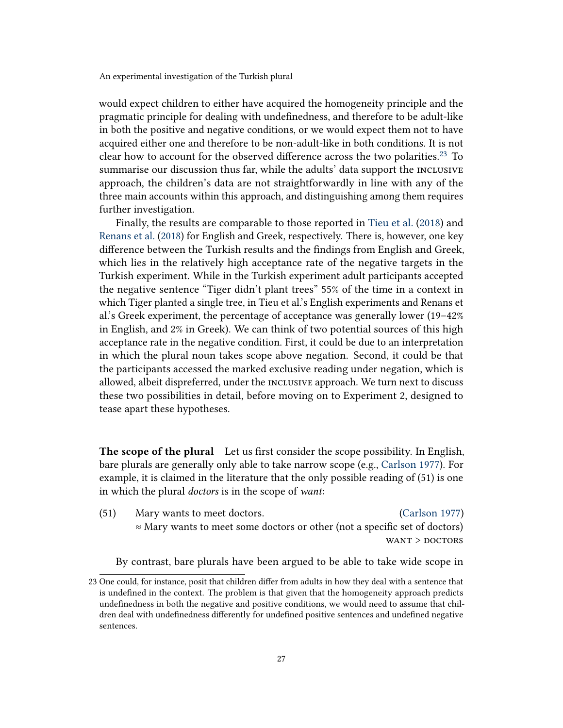would expect children to either have acquired the homogeneity principle and the pragmatic principle for dealing with undefinedness, and therefore to be adult-like in both the positive and negative conditions, or we would expect them not to have acquired either one and therefore to be non-adult-like in both conditions. It is not clear how to account for the observed difference across the two polarities.<sup>[23](#page-26-0)</sup> To summarise our discussion thus far, while the adults' data support the INCLUSIVE approach, the children's data are not straightforwardly in line with any of the three main accounts within this approach, and distinguishing among them requires further investigation.

Finally, the results are comparable to those reported in [Tieu et al.](#page-39-11) [\(2018\)](#page-39-11) and [Renans et al.](#page-39-12) [\(2018\)](#page-39-12) for English and Greek, respectively. There is, however, one key difference between the Turkish results and the findings from English and Greek, which lies in the relatively high acceptance rate of the negative targets in the Turkish experiment. While in the Turkish experiment adult participants accepted the negative sentence "Tiger didn't plant trees" 55% of the time in a context in which Tiger planted a single tree, in Tieu et al.'s English experiments and Renans et al.'s Greek experiment, the percentage of acceptance was generally lower (19–42% in English, and 2% in Greek). We can think of two potential sources of this high acceptance rate in the negative condition. First, it could be due to an interpretation in which the plural noun takes scope above negation. Second, it could be that the participants accessed the marked exclusive reading under negation, which is allowed, albeit dispreferred, under the INCLUSIVE approach. We turn next to discuss these two possibilities in detail, before moving on to Experiment 2, designed to tease apart these hypotheses.

The scope of the plural Let us first consider the scope possibility. In English, bare plurals are generally only able to take narrow scope (e.g., [Carlson](#page-37-12) [1977\)](#page-37-12). For example, it is claimed in the literature that the only possible reading of (51) is one in which the plural doctors is in the scope of want:

(51) Mary wants to meet doctors. [\(Carlson](#page-37-12) [1977\)](#page-37-12)  $\approx$  Mary wants to meet some doctors or other (not a specific set of doctors)  $WANT$  > DOCTORS

By contrast, bare plurals have been argued to be able to take wide scope in

<span id="page-26-0"></span><sup>23</sup> One could, for instance, posit that children differ from adults in how they deal with a sentence that is undefined in the context. The problem is that given that the homogeneity approach predicts undefinedness in both the negative and positive conditions, we would need to assume that children deal with undefinedness differently for undefined positive sentences and undefined negative sentences.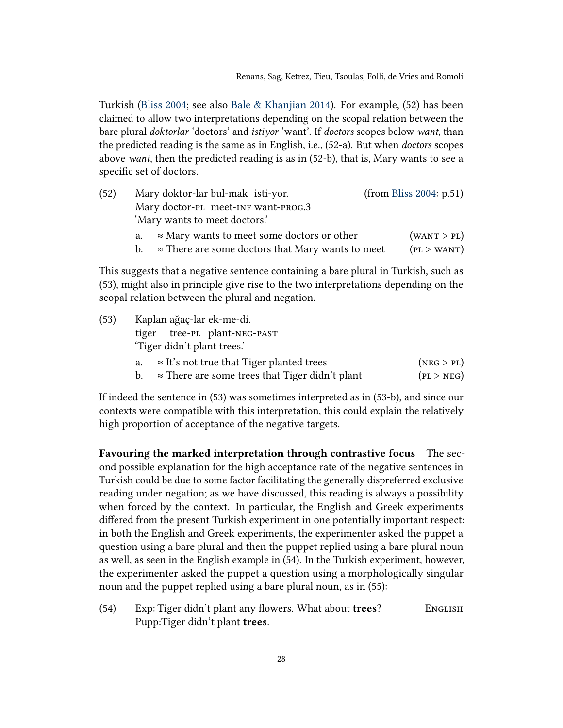Turkish [\(Bliss](#page-37-4) [2004;](#page-37-4) see also [Bale & Khanjian](#page-37-0) [2014\)](#page-37-0). For example, (52) has been claimed to allow two interpretations depending on the scopal relation between the bare plural *doktorlar* 'doctors' and *istiyor* 'want'. If *doctors* scopes below want, than the predicted reading is the same as in English, i.e., (52-a). But when doctors scopes above want, then the predicted reading is as in (52-b), that is, Mary wants to see a specific set of doctors.

| (52) |    | Mary doktor-lar bul-mak isti-yor.                        | (from Bliss 2004: p.51) |  |  |
|------|----|----------------------------------------------------------|-------------------------|--|--|
|      |    | Mary doctor-PL meet-INF want-PROG.3                      |                         |  |  |
|      |    | 'Mary wants to meet doctors.'                            |                         |  |  |
|      | a. | $\approx$ Mary wants to meet some doctors or other       | (WANT > PL)             |  |  |
|      |    | $\approx$ There are some doctors that Mary wants to meet | (PL > WANT)             |  |  |

This suggests that a negative sentence containing a bare plural in Turkish, such as (53), might also in principle give rise to the two interpretations depending on the scopal relation between the plural and negation.

| (53) | Kaplan ağaç-lar ek-me-di.                                    |            |  |  |
|------|--------------------------------------------------------------|------------|--|--|
|      | tiger tree-PL plant-NEG-PAST                                 |            |  |  |
|      | 'Tiger didn't plant trees.'                                  |            |  |  |
|      | $\approx$ It's not true that Tiger planted trees<br>a.       | (NEG > PL) |  |  |
|      | $\approx$ There are some trees that Tiger didn't plant<br>b. | (PL > NEG) |  |  |

If indeed the sentence in (53) was sometimes interpreted as in (53-b), and since our contexts were compatible with this interpretation, this could explain the relatively high proportion of acceptance of the negative targets.

Favouring the marked interpretation through contrastive focus The second possible explanation for the high acceptance rate of the negative sentences in Turkish could be due to some factor facilitating the generally dispreferred exclusive reading under negation; as we have discussed, this reading is always a possibility when forced by the context. In particular, the English and Greek experiments differed from the present Turkish experiment in one potentially important respect: in both the English and Greek experiments, the experimenter asked the puppet a question using a bare plural and then the puppet replied using a bare plural noun as well, as seen in the English example in (54). In the Turkish experiment, however, the experimenter asked the puppet a question using a morphologically singular noun and the puppet replied using a bare plural noun, as in (55):

<sup>(54)</sup> Exp: Tiger didn't plant any flowers. What about **trees**? ENGLISH Pupp:Tiger didn't plant trees.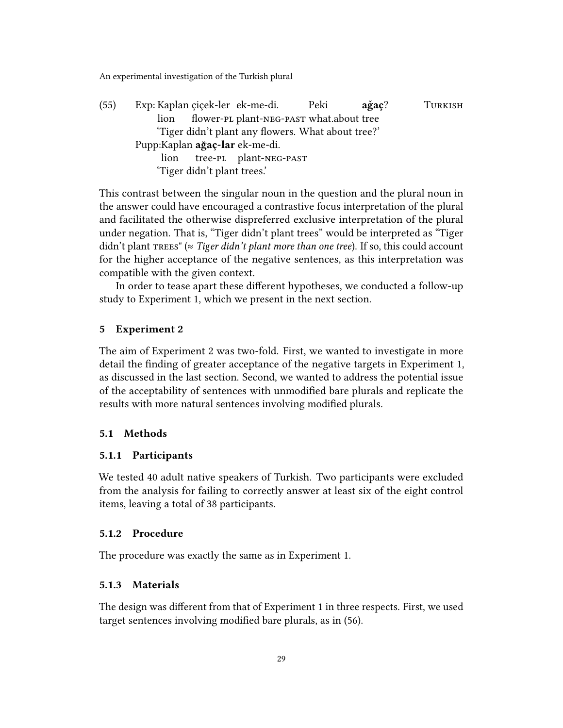(55) Exp: Kaplan çiçek-ler ek-me-di. lion flower-pl plant-NEG-PAST what.about tree Peki ağaç? Turkish 'Tiger didn't plant any flowers. What about tree?' Pupp:Kaplan ağaç-lar ek-me-di. lion tree-pl plant-neg-past 'Tiger didn't plant trees.'

This contrast between the singular noun in the question and the plural noun in the answer could have encouraged a contrastive focus interpretation of the plural and facilitated the otherwise dispreferred exclusive interpretation of the plural under negation. That is, "Tiger didn't plant trees" would be interpreted as "Tiger didn't plant TREES" ( $\approx$  Tiger didn't plant more than one tree). If so, this could account for the higher acceptance of the negative sentences, as this interpretation was compatible with the given context.

In order to tease apart these different hypotheses, we conducted a follow-up study to Experiment 1, which we present in the next section.

## <span id="page-28-0"></span>5 Experiment 2

The aim of Experiment 2 was two-fold. First, we wanted to investigate in more detail the finding of greater acceptance of the negative targets in Experiment 1, as discussed in the last section. Second, we wanted to address the potential issue of the acceptability of sentences with unmodified bare plurals and replicate the results with more natural sentences involving modified plurals.

#### 5.1 Methods

## 5.1.1 Participants

We tested 40 adult native speakers of Turkish. Two participants were excluded from the analysis for failing to correctly answer at least six of the eight control items, leaving a total of 38 participants.

#### 5.1.2 Procedure

The procedure was exactly the same as in Experiment 1.

## 5.1.3 Materials

The design was different from that of Experiment 1 in three respects. First, we used target sentences involving modified bare plurals, as in  $(56)$ .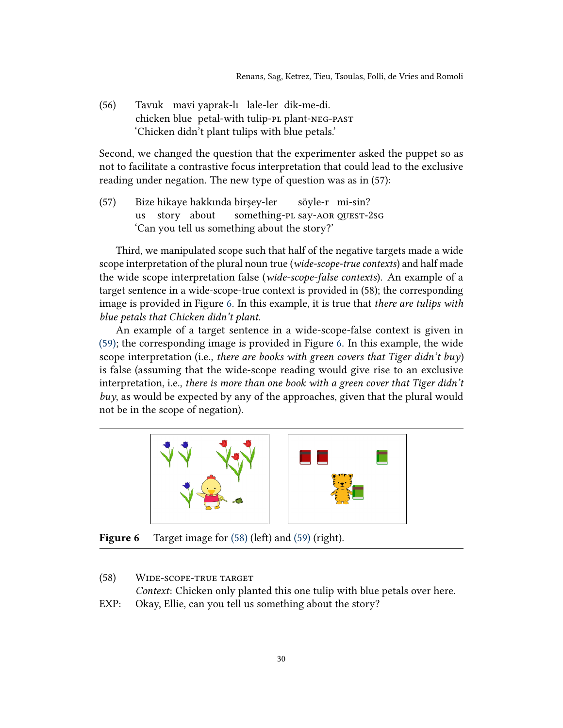(56) Tavuk mavi yaprak-lı lale-ler dik-me-di. chicken blue petal-with tulip-pl plant-NEG-PAST 'Chicken didn't plant tulips with blue petals.'

Second, we changed the question that the experimenter asked the puppet so as not to facilitate a contrastive focus interpretation that could lead to the exclusive reading under negation. The new type of question was as in (57):

(57) Bize hikaye hakkında birşey-ler us story about something-pl say-aor qest-2sg söyle-r mi-sin? 'Can you tell us something about the story?'

Third, we manipulated scope such that half of the negative targets made a wide scope interpretation of the plural noun true (*wide-scope-true contexts*) and half made the wide scope interpretation false (*wide-scope-false contexts*). An example of a target sentence in a wide-scope-true context is provided in (58); the corresponding image is provided in Figure [6.](#page-29-0) In this example, it is true that there are tulips with blue petals that Chicken didn't plant.

An example of a target sentence in a wide-scope-false context is given in [\(59\);](#page-30-0) the corresponding image is provided in Figure [6.](#page-29-0) In this example, the wide scope interpretation (i.e., there are books with green covers that Tiger didn't buy) is false (assuming that the wide-scope reading would give rise to an exclusive interpretation, i.e., there is more than one book with a green cover that Tiger didn't buy, as would be expected by any of the approaches, given that the plural would not be in the scope of negation).



**Figure 6** Target image for [\(58\)](#page-29-1) (left) and [\(59\)](#page-30-0) (right).

<span id="page-29-1"></span><span id="page-29-0"></span>(58) Wide-scope-true target

Context: Chicken only planted this one tulip with blue petals over here. EXP: Okay, Ellie, can you tell us something about the story?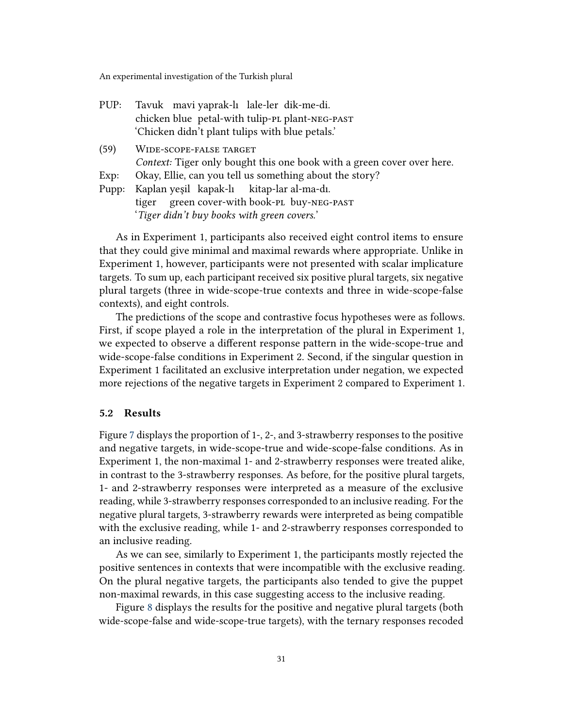- PUP: Tavuk mavi yaprak-lı lale-ler dik-me-di. chicken blue petal-with tulip-pl plant-NEG-PAST 'Chicken didn't plant tulips with blue petals.'
- <span id="page-30-0"></span>(59) Wide-scope-false target Context: Tiger only bought this one book with a green cover over here. Exp: Okay, Ellie, can you tell us something about the story?
- Pupp: Kaplan yeşil kapak-lı tiger green cover-with book-pl buy-neg-past kitap-lar al-ma-dı. 'Tiger didn't buy books with green covers.'

As in Experiment 1, participants also received eight control items to ensure that they could give minimal and maximal rewards where appropriate. Unlike in Experiment 1, however, participants were not presented with scalar implicature targets. To sum up, each participant received six positive plural targets, six negative plural targets (three in wide-scope-true contexts and three in wide-scope-false contexts), and eight controls.

The predictions of the scope and contrastive focus hypotheses were as follows. First, if scope played a role in the interpretation of the plural in Experiment 1, we expected to observe a different response pattern in the wide-scope-true and wide-scope-false conditions in Experiment 2. Second, if the singular question in Experiment 1 facilitated an exclusive interpretation under negation, we expected more rejections of the negative targets in Experiment 2 compared to Experiment 1.

## 5.2 Results

Figure [7](#page-31-0) displays the proportion of 1-, 2-, and 3-strawberry responses to the positive and negative targets, in wide-scope-true and wide-scope-false conditions. As in Experiment 1, the non-maximal 1- and 2-strawberry responses were treated alike, in contrast to the 3-strawberry responses. As before, for the positive plural targets, 1- and 2-strawberry responses were interpreted as a measure of the exclusive reading, while 3-strawberry responses corresponded to an inclusive reading. For the negative plural targets, 3-strawberry rewards were interpreted as being compatible with the exclusive reading, while 1- and 2-strawberry responses corresponded to an inclusive reading.

As we can see, similarly to Experiment 1, the participants mostly rejected the positive sentences in contexts that were incompatible with the exclusive reading. On the plural negative targets, the participants also tended to give the puppet non-maximal rewards, in this case suggesting access to the inclusive reading.

Figure [8](#page-31-1) displays the results for the positive and negative plural targets (both wide-scope-false and wide-scope-true targets), with the ternary responses recoded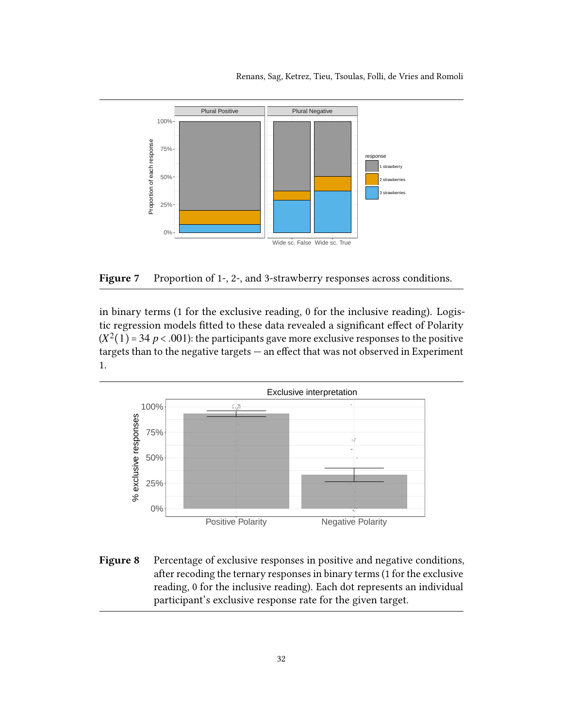

<span id="page-31-0"></span>Figure 7 Proportion of 1-, 2-, and 3-strawberry responses across conditions.

in binary terms (1 for the exclusive reading, 0 for the inclusive reading). Logistic regression models fitted to these data revealed a significant effect of Polarity  $(X^2(1) = 34 \, p < .001)$ : the participants gave more exclusive responses to the positive targets than to the negative targets  $-$  an effect that was not observed in Experiment 1.



<span id="page-31-1"></span>Figure 8 Percentage of exclusive responses in positive and negative conditions, after recoding the ternary responses in binary terms (1 for the exclusive reading, 0 for the inclusive reading). Each dot represents an individual participant's exclusive response rate for the given target.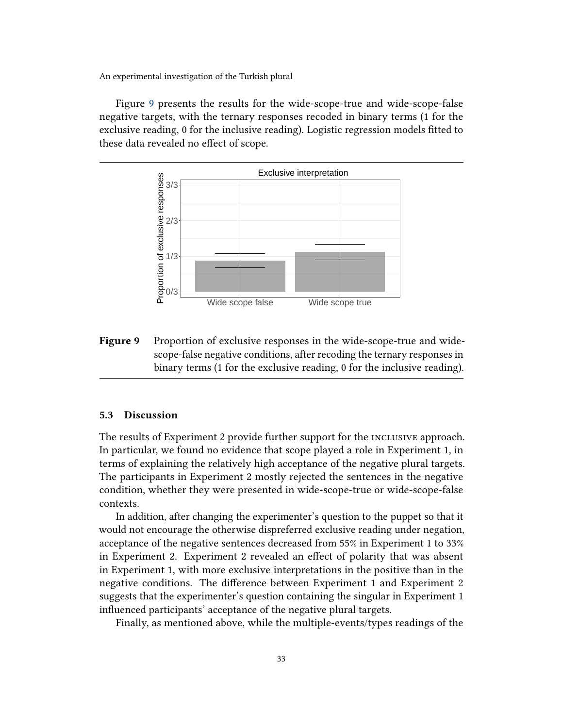Figure [9](#page-32-1) presents the results for the wide-scope-true and wide-scope-false negative targets, with the ternary responses recoded in binary terms (1 for the exclusive reading, 0 for the inclusive reading). Logistic regression models fitted to these data revealed no effect of scope.

<span id="page-32-1"></span>

Figure 9 Proportion of exclusive responses in the wide-scope-true and widescope-false negative conditions, after recoding the ternary responses in binary terms (1 for the exclusive reading, 0 for the inclusive reading).

#### <span id="page-32-0"></span>5.3 Discussion

The results of Experiment 2 provide further support for the inclusive approach. In particular, we found no evidence that scope played a role in Experiment 1, in terms of explaining the relatively high acceptance of the negative plural targets. The participants in Experiment 2 mostly rejected the sentences in the negative condition, whether they were presented in wide-scope-true or wide-scope-false contexts.

In addition, after changing the experimenter's question to the puppet so that it would not encourage the otherwise dispreferred exclusive reading under negation, acceptance of the negative sentences decreased from 55% in Experiment 1 to 33% in Experiment 2. Experiment 2 revealed an effect of polarity that was absent in Experiment 1, with more exclusive interpretations in the positive than in the negative conditions. The difference between Experiment 1 and Experiment 2 suggests that the experimenter's question containing the singular in Experiment 1 influenced participants' acceptance of the negative plural targets.

Finally, as mentioned above, while the multiple-events/types readings of the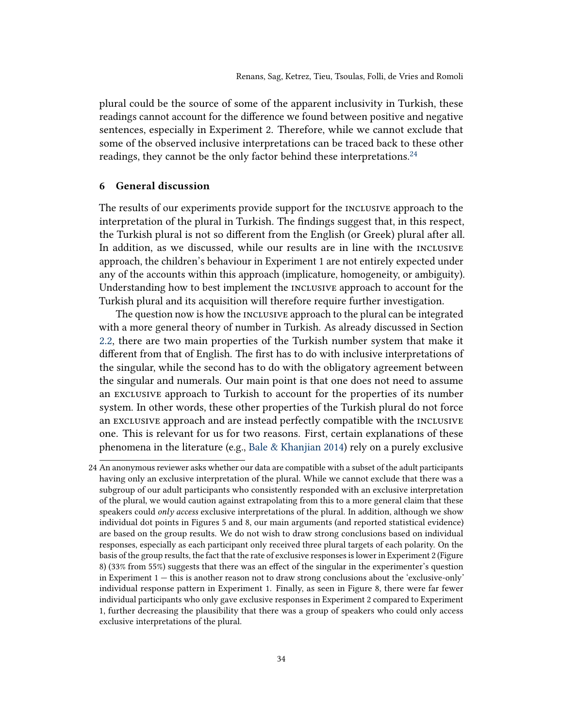plural could be the source of some of the apparent inclusivity in Turkish, these readings cannot account for the difference we found between positive and negative sentences, especially in Experiment 2. Therefore, while we cannot exclude that some of the observed inclusive interpretations can be traced back to these other readings, they cannot be the only factor behind these interpretations.<sup>[24](#page-33-1)</sup>

# <span id="page-33-0"></span>6 General discussion

The results of our experiments provide support for the inclusive approach to the interpretation of the plural in Turkish. The findings suggest that, in this respect, the Turkish plural is not so different from the English (or Greek) plural after all. In addition, as we discussed, while our results are in line with the inclusive approach, the children's behaviour in Experiment 1 are not entirely expected under any of the accounts within this approach (implicature, homogeneity, or ambiguity). Understanding how to best implement the INCLUSIVE approach to account for the Turkish plural and its acquisition will therefore require further investigation.

The question now is how the INCLUSIVE approach to the plural can be integrated with a more general theory of number in Turkish. As already discussed in Section [2.2,](#page-7-1) there are two main properties of the Turkish number system that make it different from that of English. The first has to do with inclusive interpretations of the singular, while the second has to do with the obligatory agreement between the singular and numerals. Our main point is that one does not need to assume an exclusive approach to Turkish to account for the properties of its number system. In other words, these other properties of the Turkish plural do not force an exclusive approach and are instead perfectly compatible with the inclusive one. This is relevant for us for two reasons. First, certain explanations of these phenomena in the literature (e.g., [Bale & Khanjian](#page-37-0) [2014\)](#page-37-0) rely on a purely exclusive

<span id="page-33-1"></span><sup>24</sup> An anonymous reviewer asks whether our data are compatible with a subset of the adult participants having only an exclusive interpretation of the plural. While we cannot exclude that there was a subgroup of our adult participants who consistently responded with an exclusive interpretation of the plural, we would caution against extrapolating from this to a more general claim that these speakers could only access exclusive interpretations of the plural. In addition, although we show individual dot points in Figures 5 and 8, our main arguments (and reported statistical evidence) are based on the group results. We do not wish to draw strong conclusions based on individual responses, especially as each participant only received three plural targets of each polarity. On the basis of the group results, the fact that the rate of exclusive responses is lower in Experiment 2 (Figure 8) (33% from 55%) suggests that there was an effect of the singular in the experimenter's question in Experiment 1 — this is another reason not to draw strong conclusions about the 'exclusive-only' individual response pattern in Experiment 1. Finally, as seen in Figure 8, there were far fewer individual participants who only gave exclusive responses in Experiment 2 compared to Experiment 1, further decreasing the plausibility that there was a group of speakers who could only access exclusive interpretations of the plural.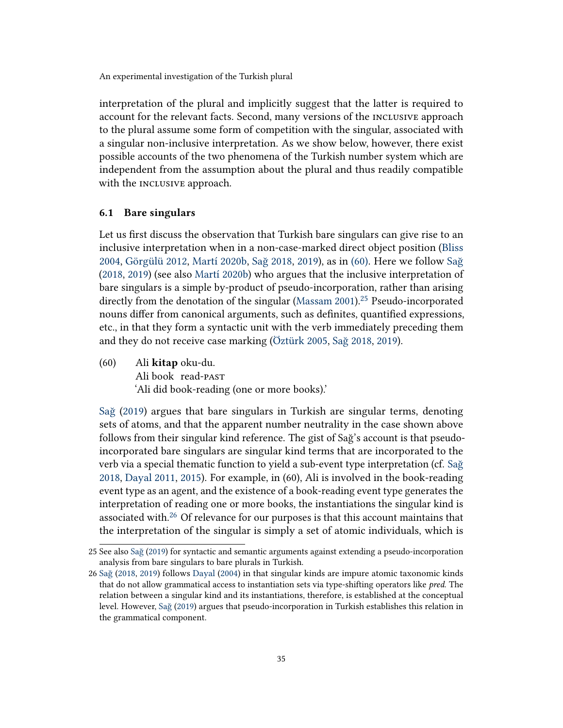interpretation of the plural and implicitly suggest that the latter is required to account for the relevant facts. Second, many versions of the inclusive approach to the plural assume some form of competition with the singular, associated with a singular non-inclusive interpretation. As we show below, however, there exist possible accounts of the two phenomena of the Turkish number system which are independent from the assumption about the plural and thus readily compatible with the INCLUSIVE approach.

## 6.1 Bare singulars

Let us first discuss the observation that Turkish bare singulars can give rise to an inclusive interpretation when in a non-case-marked direct object position [\(Bliss](#page-37-4) [2004,](#page-37-4) [Görgülü](#page-38-1) [2012,](#page-38-1) [Martí](#page-39-3) [2020b,](#page-39-3) [Sağ](#page-39-1) [2018,](#page-39-1) [2019\)](#page-39-2), as in [\(60\).](#page-34-0) Here we follow [Sağ](#page-39-1) [\(2018,](#page-39-1) [2019\)](#page-39-2) (see also [Martí](#page-39-3) [2020b\)](#page-39-3) who argues that the inclusive interpretation of bare singulars is a simple by-product of pseudo-incorporation, rather than arising directly from the denotation of the singular [\(Massam](#page-39-16) [2001\)](#page-39-16).<sup>[25](#page-34-1)</sup> Pseudo-incorporated nouns differ from canonical arguments, such as definites, quantified expressions, etc., in that they form a syntactic unit with the verb immediately preceding them and they do not receive case marking [\(Öztürk](#page-39-17) [2005,](#page-39-17) [Sağ](#page-39-1) [2018,](#page-39-1) [2019\)](#page-39-2).

<span id="page-34-0"></span> $(60)$ Ali book read-past kitap oku-du. 'Ali did book-reading (one or more books).'

[Sağ](#page-39-2) [\(2019\)](#page-39-2) argues that bare singulars in Turkish are singular terms, denoting sets of atoms, and that the apparent number neutrality in the case shown above follows from their singular kind reference. The gist of Sağ's account is that pseudoincorporated bare singulars are singular kind terms that are incorporated to the verb via a special thematic function to yield a sub-event type interpretation (cf. [Sağ](#page-39-1) [2018,](#page-39-1) [Dayal](#page-37-13) [2011,](#page-37-13) [2015\)](#page-37-14). For example, in (60), Ali is involved in the book-reading event type as an agent, and the existence of a book-reading event type generates the interpretation of reading one or more books, the instantiations the singular kind is associated with.[26](#page-34-2) Of relevance for our purposes is that this account maintains that the interpretation of the singular is simply a set of atomic individuals, which is

<span id="page-34-1"></span><sup>25</sup> See also [Sağ](#page-39-2) [\(2019\)](#page-39-2) for syntactic and semantic arguments against extending a pseudo-incorporation analysis from bare singulars to bare plurals in Turkish.

<span id="page-34-2"></span><sup>26</sup> [Sağ](#page-39-1) [\(2018,](#page-39-1) [2019\)](#page-39-2) follows [Dayal](#page-37-15) [\(2004\)](#page-37-15) in that singular kinds are impure atomic taxonomic kinds that do not allow grammatical access to instantiation sets via type-shifting operators like pred. The relation between a singular kind and its instantiations, therefore, is established at the conceptual level. However, [Sağ](#page-39-2) [\(2019\)](#page-39-2) argues that pseudo-incorporation in Turkish establishes this relation in the grammatical component.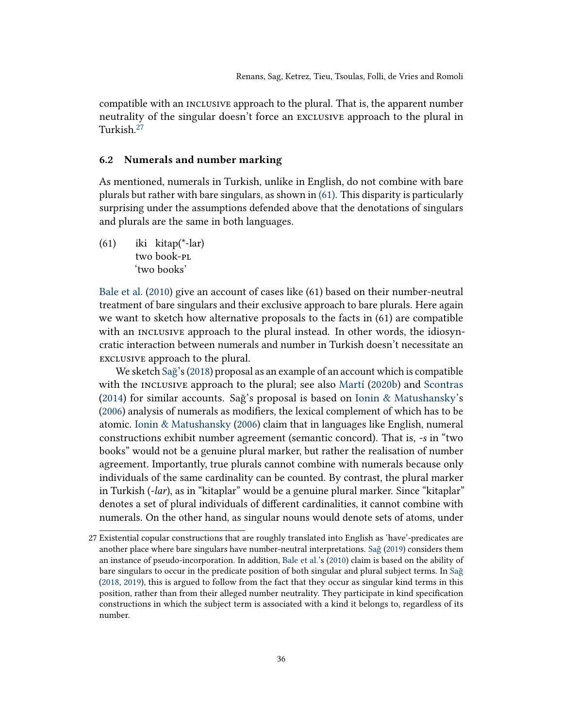compatible with an inclusive approach to the plural. That is, the apparent number neutrality of the singular doesn't force an exclusive approach to the plural in Turkish.[27](#page-35-0)

#### 6.2 Numerals and number marking

As mentioned, numerals in Turkish, unlike in English, do not combine with bare plurals but rather with bare singulars, as shown in [\(61\).](#page-35-1) This disparity is particularly surprising under the assumptions defended above that the denotations of singulars and plurals are the same in both languages.

<span id="page-35-1"></span> $(61)$ two book-pl iki kitap<sup>\*</sup>-lar) 'two books'

[Bale et al.](#page-36-0) [\(2010\)](#page-36-0) give an account of cases like (61) based on their number-neutral treatment of bare singulars and their exclusive approach to bare plurals. Here again we want to sketch how alternative proposals to the facts in (61) are compatible with an INCLUSIVE approach to the plural instead. In other words, the idiosyncratic interaction between numerals and number in Turkish doesn't necessitate an exclusive approach to the plural.

We sketch [Sağ'](#page-39-1)s [\(2018\)](#page-39-1) proposal as an example of an account which is compatible with the INCLUSIVE approach to the plural; see also [Martí](#page-39-3) [\(2020b\)](#page-39-3) and [Scontras](#page-39-9) [\(2014\)](#page-39-9) for similar accounts. Sağ's proposal is based on [Ionin & Matushansky'](#page-38-8)s [\(2006\)](#page-38-8) analysis of numerals as modifiers, the lexical complement of which has to be atomic. [Ionin & Matushansky](#page-38-8) [\(2006\)](#page-38-8) claim that in languages like English, numeral constructions exhibit number agreement (semantic concord). That is, -s in "two books" would not be a genuine plural marker, but rather the realisation of number agreement. Importantly, true plurals cannot combine with numerals because only individuals of the same cardinality can be counted. By contrast, the plural marker in Turkish (-lar), as in "kitaplar" would be a genuine plural marker. Since "kitaplar" denotes a set of plural individuals of different cardinalities, it cannot combine with numerals. On the other hand, as singular nouns would denote sets of atoms, under

<span id="page-35-0"></span><sup>27</sup> Existential copular constructions that are roughly translated into English as 'have'-predicates are another place where bare singulars have number-neutral interpretations. [Sağ](#page-39-2) [\(2019\)](#page-39-2) considers them an instance of pseudo-incorporation. In addition, [Bale et al.'](#page-36-0)s [\(2010\)](#page-36-0) claim is based on the ability of bare singulars to occur in the predicate position of both singular and plural subject terms. In [Sağ](#page-39-1) [\(2018,](#page-39-1) [2019\)](#page-39-2), this is argued to follow from the fact that they occur as singular kind terms in this position, rather than from their alleged number neutrality. They participate in kind specification constructions in which the subject term is associated with a kind it belongs to, regardless of its number.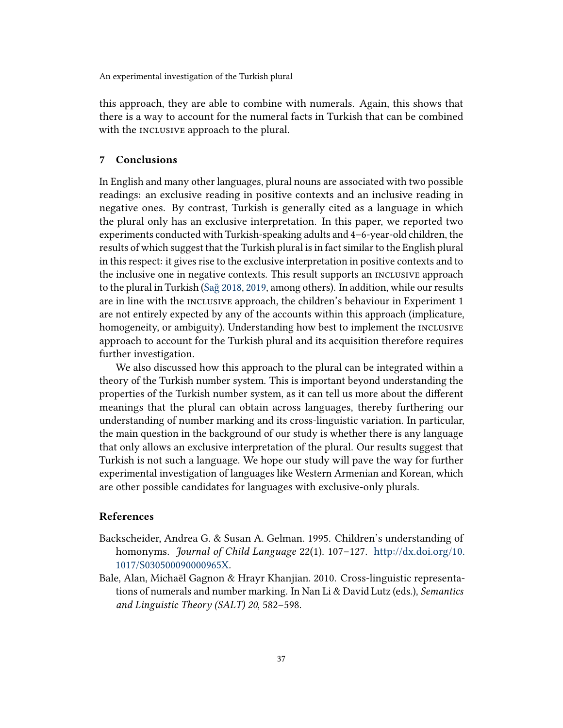this approach, they are able to combine with numerals. Again, this shows that there is a way to account for the numeral facts in Turkish that can be combined with the INCLUSIVE approach to the plural.

## <span id="page-36-1"></span>7 Conclusions

In English and many other languages, plural nouns are associated with two possible readings: an exclusive reading in positive contexts and an inclusive reading in negative ones. By contrast, Turkish is generally cited as a language in which the plural only has an exclusive interpretation. In this paper, we reported two experiments conducted with Turkish-speaking adults and 4–6-year-old children, the results of which suggest that the Turkish plural is in fact similar to the English plural in this respect: it gives rise to the exclusive interpretation in positive contexts and to the inclusive one in negative contexts. This result supports an inclusive approach to the plural in Turkish [\(Sağ](#page-39-1) [2018,](#page-39-1) [2019,](#page-39-2) among others). In addition, while our results are in line with the INCLUSIVE approach, the children's behaviour in Experiment 1 are not entirely expected by any of the accounts within this approach (implicature, homogeneity, or ambiguity). Understanding how best to implement the INCLUSIVE approach to account for the Turkish plural and its acquisition therefore requires further investigation.

We also discussed how this approach to the plural can be integrated within a theory of the Turkish number system. This is important beyond understanding the properties of the Turkish number system, as it can tell us more about the different meanings that the plural can obtain across languages, thereby furthering our understanding of number marking and its cross-linguistic variation. In particular, the main question in the background of our study is whether there is any language that only allows an exclusive interpretation of the plural. Our results suggest that Turkish is not such a language. We hope our study will pave the way for further experimental investigation of languages like Western Armenian and Korean, which are other possible candidates for languages with exclusive-only plurals.

# References

- <span id="page-36-2"></span>Backscheider, Andrea G. & Susan A. Gelman. 1995. Children's understanding of homonyms. Journal of Child Language 22(1). 107-127. [http://dx.doi.org/10.](http://dx.doi.org/10.1017/S030500090000965X) [1017/S030500090000965X.](http://dx.doi.org/10.1017/S030500090000965X)
- <span id="page-36-0"></span>Bale, Alan, Michaël Gagnon & Hrayr Khanjian. 2010. Cross-linguistic representations of numerals and number marking. In Nan Li & David Lutz (eds.), Semantics and Linguistic Theory (SALT) 20, 582–598.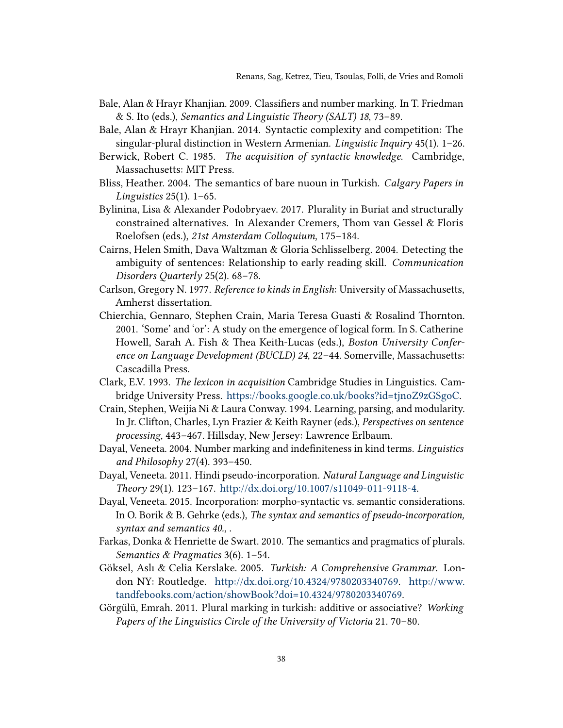- <span id="page-37-3"></span>Bale, Alan & Hrayr Khanjian. 2009. Classifiers and number marking. In T. Friedman & S. Ito (eds.), Semantics and Linguistic Theory (SALT) 18, 73–89.
- <span id="page-37-0"></span>Bale, Alan & Hrayr Khanjian. 2014. Syntactic complexity and competition: The singular-plural distinction in Western Armenian. Linguistic Inquiry 45(1). 1–26.
- <span id="page-37-8"></span>Berwick, Robert C. 1985. The acquisition of syntactic knowledge. Cambridge, Massachusetts: MIT Press.
- <span id="page-37-4"></span>Bliss, Heather. 2004. The semantics of bare nuoun in Turkish. Calgary Papers in Linguistics 25(1). 1–65.
- <span id="page-37-2"></span>Bylinina, Lisa & Alexander Podobryaev. 2017. Plurality in Buriat and structurally constrained alternatives. In Alexander Cremers, Thom van Gessel & Floris Roelofsen (eds.), 21st Amsterdam Colloquium, 175–184.
- <span id="page-37-11"></span>Cairns, Helen Smith, Dava Waltzman & Gloria Schlisselberg. 2004. Detecting the ambiguity of sentences: Relationship to early reading skill. Communication Disorders Quarterly 25(2). 68–78.
- <span id="page-37-12"></span>Carlson, Gregory N. 1977. Reference to kinds in English: University of Massachusetts, Amherst dissertation.
- <span id="page-37-7"></span>Chierchia, Gennaro, Stephen Crain, Maria Teresa Guasti & Rosalind Thornton. 2001. 'Some' and 'or': A study on the emergence of logical form. In S. Catherine Howell, Sarah A. Fish & Thea Keith-Lucas (eds.), Boston University Conference on Language Development (BUCLD) 24, 22–44. Somerville, Massachusetts: Cascadilla Press.
- <span id="page-37-10"></span>Clark, E.V. 1993. The lexicon in acquisition Cambridge Studies in Linguistics. Cambridge University Press. [https://books.google.co.uk/books?id=tjnoZ9zGSgoC.](https://books.google.co.uk/books?id=tjnoZ9zGSgoC)
- <span id="page-37-9"></span>Crain, Stephen, Weijia Ni & Laura Conway. 1994. Learning, parsing, and modularity. In Jr. Clifton, Charles, Lyn Frazier & Keith Rayner (eds.), Perspectives on sentence processing, 443–467. Hillsday, New Jersey: Lawrence Erlbaum.
- <span id="page-37-15"></span>Dayal, Veneeta. 2004. Number marking and indefiniteness in kind terms. Linguistics and Philosophy 27(4). 393–450.
- <span id="page-37-13"></span>Dayal, Veneeta. 2011. Hindi pseudo-incorporation. Natural Language and Linguistic Theory 29(1). 123–167. [http://dx.doi.org/10.1007/s11049-011-9118-4.](http://dx.doi.org/10.1007/s11049-011-9118-4)
- <span id="page-37-14"></span>Dayal, Veneeta. 2015. Incorporation: morpho-syntactic vs. semantic considerations. In O. Borik & B. Gehrke (eds.), The syntax and semantics of pseudo-incorporation, syntax and semantics 40.,.
- <span id="page-37-1"></span>Farkas, Donka & Henriette de Swart. 2010. The semantics and pragmatics of plurals. Semantics & Pragmatics 3(6). 1–54.
- <span id="page-37-5"></span>Göksel, Aslı & Celia Kerslake. 2005. Turkish: A Comprehensive Grammar. London NY: Routledge. [http://dx.doi.org/10.4324/9780203340769.](http://dx.doi.org/10.4324/9780203340769) [http://www.](http://www.tandfebooks.com/action/showBook?doi=10.4324/9780203340769) [tandfebooks.com/action/showBook?doi=10.4324/9780203340769.](http://www.tandfebooks.com/action/showBook?doi=10.4324/9780203340769)
- <span id="page-37-6"></span>Görgülü, Emrah. 2011. Plural marking in turkish: additive or associative? Working Papers of the Linguistics Circle of the University of Victoria 21. 70–80.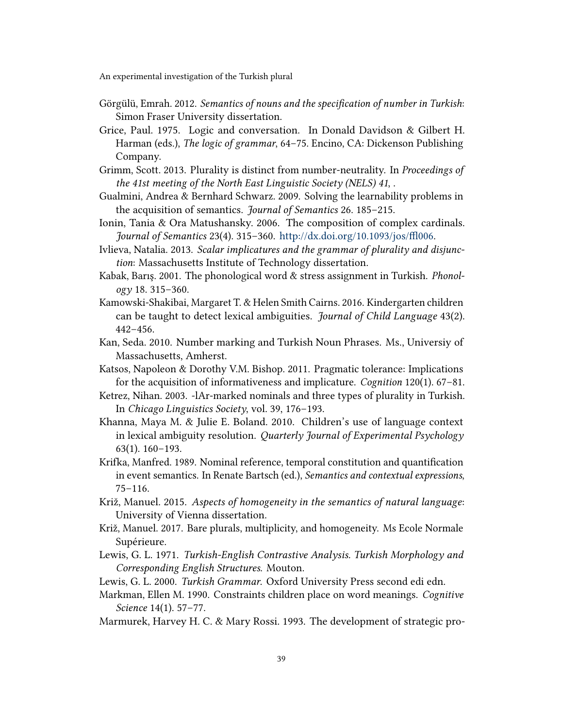- <span id="page-38-1"></span>Görgülü, Emrah. 2012. Semantics of nouns and the specification of number in Turkish: Simon Fraser University dissertation.
- <span id="page-38-7"></span>Grice, Paul. 1975. Logic and conversation. In Donald Davidson & Gilbert H. Harman (eds.), The logic of grammar, 64–75. Encino, CA: Dickenson Publishing Company.
- <span id="page-38-4"></span>Grimm, Scott. 2013. Plurality is distinct from number-neutrality. In Proceedings of the 41st meeting of the North East Linguistic Society (NELS) 41, .
- <span id="page-38-14"></span>Gualmini, Andrea & Bernhard Schwarz. 2009. Solving the learnability problems in the acquisition of semantics. Journal of Semantics 26. 185-215.
- <span id="page-38-8"></span>Ionin, Tania & Ora Matushansky. 2006. The composition of complex cardinals. Journal of Semantics 23(4). 315–360. [http://dx.doi.org/10.1093/jos/006.](http://dx.doi.org/10.1093/jos/ffl006)
- <span id="page-38-3"></span>Ivlieva, Natalia. 2013. Scalar implicatures and the grammar of plurality and disjunction: Massachusetts Institute of Technology dissertation.
- <span id="page-38-10"></span>Kabak, Barış. 2001. The phonological word & stress assignment in Turkish. Phonology 18. 315–360.
- <span id="page-38-16"></span>Kamowski-Shakibai, Margaret T. & Helen Smith Cairns. 2016. Kindergarten children can be taught to detect lexical ambiguities. Journal of Child Language 43(2). 442–456.
- <span id="page-38-2"></span>Kan, Seda. 2010. Number marking and Turkish Noun Phrases. Ms., Universiy of Massachusetts, Amherst.
- <span id="page-38-13"></span>Katsos, Napoleon & Dorothy V.M. Bishop. 2011. Pragmatic tolerance: Implications for the acquisition of informativeness and implicature. Cognition 120(1). 67–81.
- <span id="page-38-9"></span>Ketrez, Nihan. 2003. -lAr-marked nominals and three types of plurality in Turkish. In Chicago Linguistics Society, vol. 39, 176–193.
- <span id="page-38-18"></span>Khanna, Maya M. & Julie E. Boland. 2010. Children's use of language context in lexical ambiguity resolution. Quarterly Journal of Experimental Psychology 63(1). 160–193.
- <span id="page-38-0"></span>Krifka, Manfred. 1989. Nominal reference, temporal constitution and quantification in event semantics. In Renate Bartsch (ed.), Semantics and contextual expressions, 75–116.
- <span id="page-38-5"></span>Križ, Manuel. 2015. Aspects of homogeneity in the semantics of natural language: University of Vienna dissertation.
- <span id="page-38-6"></span>Križ, Manuel. 2017. Bare plurals, multiplicity, and homogeneity. Ms Ecole Normale Supérieure.
- <span id="page-38-11"></span>Lewis, G. L. 1971. Turkish-English Contrastive Analysis. Turkish Morphology and Corresponding English Structures. Mouton.
- <span id="page-38-12"></span>Lewis, G. L. 2000. Turkish Grammar. Oxford University Press second edi edn.
- <span id="page-38-15"></span>Markman, Ellen M. 1990. Constraints children place on word meanings. Cognitive Science 14(1). 57–77.
- <span id="page-38-17"></span>Marmurek, Harvey H. C. & Mary Rossi. 1993. The development of strategic pro-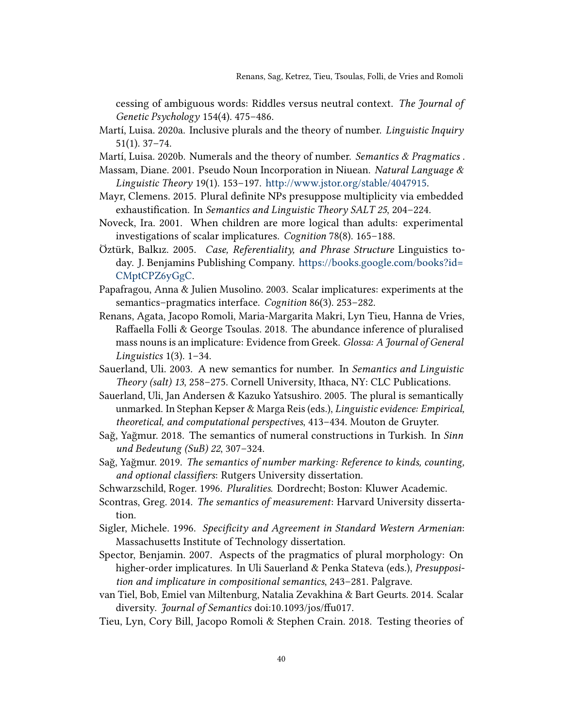cessing of ambiguous words: Riddles versus neutral context. The Journal of Genetic Psychology 154(4). 475–486.

<span id="page-39-6"></span>Martí, Luisa. 2020a. Inclusive plurals and the theory of number. Linguistic Inquiry 51(1). 37–74.

<span id="page-39-3"></span>Martí, Luisa. 2020b. Numerals and the theory of number. Semantics & Pragmatics.

- <span id="page-39-16"></span>Massam, Diane. 2001. Pseudo Noun Incorporation in Niuean. Natural Language  $\&$ Linguistic Theory 19(1). 153–197. [http://www.jstor.org/stable/4047915.](http://www.jstor.org/stable/4047915)
- <span id="page-39-5"></span>Mayr, Clemens. 2015. Plural definite NPs presuppose multiplicity via embedded exhaustification. In Semantics and Linguistic Theory SALT 25, 204-224.
- <span id="page-39-13"></span>Noveck, Ira. 2001. When children are more logical than adults: experimental investigations of scalar implicatures. Cognition 78(8). 165–188.
- <span id="page-39-17"></span>Öztürk, Balkız. 2005. Case, Referentiality, and Phrase Structure Linguistics today. J. Benjamins Publishing Company. [https://books.google.com/books?id=](https://books.google.com/books?id=CMptCPZ6yGgC) [CMptCPZ6yGgC.](https://books.google.com/books?id=CMptCPZ6yGgC)
- <span id="page-39-14"></span>Papafragou, Anna & Julien Musolino. 2003. Scalar implicatures: experiments at the semantics–pragmatics interface. Cognition 86(3). 253–282.
- <span id="page-39-12"></span>Renans, Agata, Jacopo Romoli, Maria-Margarita Makri, Lyn Tieu, Hanna de Vries, Raffaella Folli & George Tsoulas. 2018. The abundance inference of pluralised mass nouns is an implicature: Evidence from Greek. Glossa: A Journal of General Linguistics  $1(3)$ .  $1-34$ .
- <span id="page-39-8"></span>Sauerland, Uli. 2003. A new semantics for number. In Semantics and Linguistic Theory (salt) 13, 258–275. Cornell University, Ithaca, NY: CLC Publications.
- <span id="page-39-0"></span>Sauerland, Uli, Jan Andersen & Kazuko Yatsushiro. 2005. The plural is semantically unmarked. In Stephan Kepser & Marga Reis (eds.), Linguistic evidence: Empirical, theoretical, and computational perspectives, 413–434. Mouton de Gruyter.
- <span id="page-39-1"></span>Sağ, Yağmur. 2018. The semantics of numeral constructions in Turkish. In Sinn und Bedeutung (SuB) 22, 307–324.
- <span id="page-39-2"></span>Sağ, Yağmur. 2019. The semantics of number marking: Reference to kinds, counting, and optional classifiers: Rutgers University dissertation.
- <span id="page-39-7"></span>Schwarzschild, Roger. 1996. Pluralities. Dordrecht; Boston: Kluwer Academic.
- <span id="page-39-9"></span>Scontras, Greg. 2014. The semantics of measurement: Harvard University dissertation.
- <span id="page-39-10"></span>Sigler, Michele. 1996. Specificity and Agreement in Standard Western Armenian: Massachusetts Institute of Technology dissertation.
- <span id="page-39-4"></span>Spector, Benjamin. 2007. Aspects of the pragmatics of plural morphology: On higher-order implicatures. In Uli Sauerland & Penka Stateva (eds.), Presupposition and implicature in compositional semantics, 243–281. Palgrave.
- <span id="page-39-15"></span>van Tiel, Bob, Emiel van Miltenburg, Natalia Zevakhina & Bart Geurts. 2014. Scalar diversity. Journal of Semantics doi:10.1093/jos/ffu017.
- <span id="page-39-11"></span>Tieu, Lyn, Cory Bill, Jacopo Romoli & Stephen Crain. 2018. Testing theories of